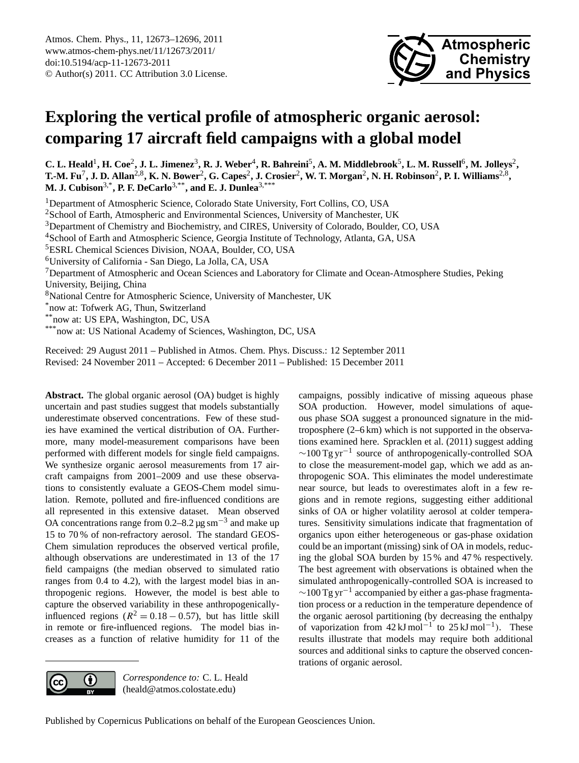

# <span id="page-0-0"></span>**Exploring the vertical profile of atmospheric organic aerosol: comparing 17 aircraft field campaigns with a global model**

C. L. Heald<sup>1</sup>, H. Coe<sup>2</sup>, J. L. Jimenez<sup>3</sup>, R. J. Weber<sup>4</sup>, R. Bahreini<sup>5</sup>, A. M. Middlebrook<sup>5</sup>, L. M. Russell<sup>6</sup>, M. Jolleys<sup>2</sup>, **T.-M. Fu**<sup>7</sup> **, J. D. Allan**2,8**, K. N. Bower**<sup>2</sup> **, G. Capes**<sup>2</sup> **, J. Crosier**<sup>2</sup> **, W. T. Morgan**<sup>2</sup> **, N. H. Robinson**<sup>2</sup> **, P. I. Williams**2,8 **, M. J. Cubison**3,\***, P. F. DeCarlo**3,\*\***, and E. J. Dunlea**3,\*\*\*

<sup>1</sup>Department of Atmospheric Science, Colorado State University, Fort Collins, CO, USA

<sup>2</sup>School of Earth, Atmospheric and Environmental Sciences, University of Manchester, UK

<sup>3</sup>Department of Chemistry and Biochemistry, and CIRES, University of Colorado, Boulder, CO, USA

<sup>4</sup>School of Earth and Atmospheric Science, Georgia Institute of Technology, Atlanta, GA, USA

<sup>5</sup>ESRL Chemical Sciences Division, NOAA, Boulder, CO, USA

<sup>6</sup>University of California - San Diego, La Jolla, CA, USA

<sup>7</sup>Department of Atmospheric and Ocean Sciences and Laboratory for Climate and Ocean-Atmosphere Studies, Peking University, Beijing, China

<sup>8</sup>National Centre for Atmospheric Science, University of Manchester, UK

\*now at: Tofwerk AG, Thun, Switzerland

\*\*now at: US EPA, Washington, DC, USA

\*\*\*now at: US National Academy of Sciences, Washington, DC, USA

Received: 29 August 2011 – Published in Atmos. Chem. Phys. Discuss.: 12 September 2011 Revised: 24 November 2011 – Accepted: 6 December 2011 – Published: 15 December 2011

**Abstract.** The global organic aerosol (OA) budget is highly uncertain and past studies suggest that models substantially underestimate observed concentrations. Few of these studies have examined the vertical distribution of OA. Furthermore, many model-measurement comparisons have been performed with different models for single field campaigns. We synthesize organic aerosol measurements from 17 aircraft campaigns from 2001–2009 and use these observations to consistently evaluate a GEOS-Chem model simulation. Remote, polluted and fire-influenced conditions are all represented in this extensive dataset. Mean observed OA concentrations range from 0.2–8.2  $\mu$ g sm<sup>-3</sup> and make up 15 to 70 % of non-refractory aerosol. The standard GEOS-Chem simulation reproduces the observed vertical profile, although observations are underestimated in 13 of the 17 field campaigns (the median observed to simulated ratio ranges from 0.4 to 4.2), with the largest model bias in anthropogenic regions. However, the model is best able to capture the observed variability in these anthropogenicallyinfluenced regions ( $R^2 = 0.18 - 0.57$ ), but has little skill in remote or fire-influenced regions. The model bias increases as a function of relative humidity for 11 of the



*Correspondence to:* C. L. Heald (heald@atmos.colostate.edu)

campaigns, possibly indicative of missing aqueous phase SOA production. However, model simulations of aqueous phase SOA suggest a pronounced signature in the midtroposphere (2–6 km) which is not supported in the observations examined here. Spracklen et al. (2011) suggest adding ∼100 Tg yr−<sup>1</sup> source of anthropogenically-controlled SOA to close the measurement-model gap, which we add as anthropogenic SOA. This eliminates the model underestimate near source, but leads to overestimates aloft in a few regions and in remote regions, suggesting either additional sinks of OA or higher volatility aerosol at colder temperatures. Sensitivity simulations indicate that fragmentation of organics upon either heterogeneous or gas-phase oxidation could be an important (missing) sink of OA in models, reducing the global SOA burden by 15 % and 47 % respectively. The best agreement with observations is obtained when the simulated anthropogenically-controlled SOA is increased to ∼100 Tg yr−<sup>1</sup> accompanied by either a gas-phase fragmentation process or a reduction in the temperature dependence of the organic aerosol partitioning (by decreasing the enthalpy of vaporization from  $42 \text{ kJ} \text{ mol}^{-1}$  to  $25 \text{ kJ} \text{ mol}^{-1}$ ). These results illustrate that models may require both additional sources and additional sinks to capture the observed concentrations of organic aerosol.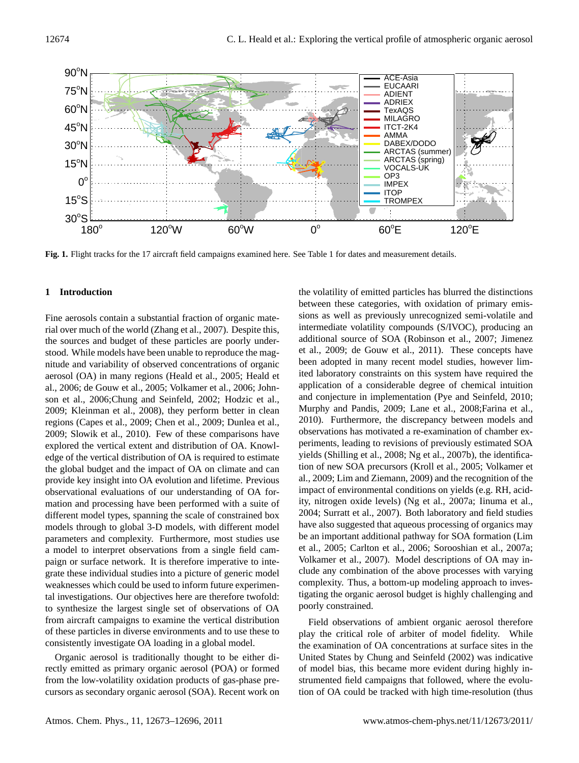

**Fig. 1.** Flight tracks for the 17 aircraft field campaigns examined here. See Table 1 for dates and measurement details.

## **1 Introduction**

Fine aerosols contain a substantial fraction of organic material over much of the world (Zhang et al., 2007). Despite this, the sources and budget of these particles are poorly understood. While models have been unable to reproduce the magnitude and variability of observed concentrations of organic aerosol (OA) in many regions (Heald et al., 2005; Heald et al., 2006; de Gouw et al., 2005; Volkamer et al., 2006; Johnson et al., 2006;Chung and Seinfeld, 2002; Hodzic et al., 2009; Kleinman et al., 2008), they perform better in clean regions (Capes et al., 2009; Chen et al., 2009; Dunlea et al., 2009; Slowik et al., 2010). Few of these comparisons have explored the vertical extent and distribution of OA. Knowledge of the vertical distribution of OA is required to estimate the global budget and the impact of OA on climate and can provide key insight into OA evolution and lifetime. Previous observational evaluations of our understanding of OA formation and processing have been performed with a suite of different model types, spanning the scale of constrained box models through to global 3-D models, with different model parameters and complexity. Furthermore, most studies use a model to interpret observations from a single field campaign or surface network. It is therefore imperative to integrate these individual studies into a picture of generic model weaknesses which could be used to inform future experimental investigations. Our objectives here are therefore twofold: to synthesize the largest single set of observations of OA from aircraft campaigns to examine the vertical distribution of these particles in diverse environments and to use these to consistently investigate OA loading in a global model.

Organic aerosol is traditionally thought to be either directly emitted as primary organic aerosol (POA) or formed from the low-volatility oxidation products of gas-phase precursors as secondary organic aerosol (SOA). Recent work on the volatility of emitted particles has blurred the distinctions between these categories, with oxidation of primary emissions as well as previously unrecognized semi-volatile and intermediate volatility compounds (S/IVOC), producing an additional source of SOA (Robinson et al., 2007; Jimenez et al., 2009; de Gouw et al., 2011). These concepts have been adopted in many recent model studies, however limited laboratory constraints on this system have required the application of a considerable degree of chemical intuition and conjecture in implementation (Pye and Seinfeld, 2010; Murphy and Pandis, 2009; Lane et al., 2008;Farina et al., 2010). Furthermore, the discrepancy between models and observations has motivated a re-examination of chamber experiments, leading to revisions of previously estimated SOA yields (Shilling et al., 2008; Ng et al., 2007b), the identification of new SOA precursors (Kroll et al., 2005; Volkamer et al., 2009; Lim and Ziemann, 2009) and the recognition of the impact of environmental conditions on yields (e.g. RH, acidity, nitrogen oxide levels) (Ng et al., 2007a; Iinuma et al., 2004; Surratt et al., 2007). Both laboratory and field studies have also suggested that aqueous processing of organics may be an important additional pathway for SOA formation (Lim et al., 2005; Carlton et al., 2006; Sorooshian et al., 2007a; Volkamer et al., 2007). Model descriptions of OA may include any combination of the above processes with varying complexity. Thus, a bottom-up modeling approach to investigating the organic aerosol budget is highly challenging and poorly constrained.

Field observations of ambient organic aerosol therefore play the critical role of arbiter of model fidelity. While the examination of OA concentrations at surface sites in the United States by Chung and Seinfeld (2002) was indicative of model bias, this became more evident during highly instrumented field campaigns that followed, where the evolution of OA could be tracked with high time-resolution (thus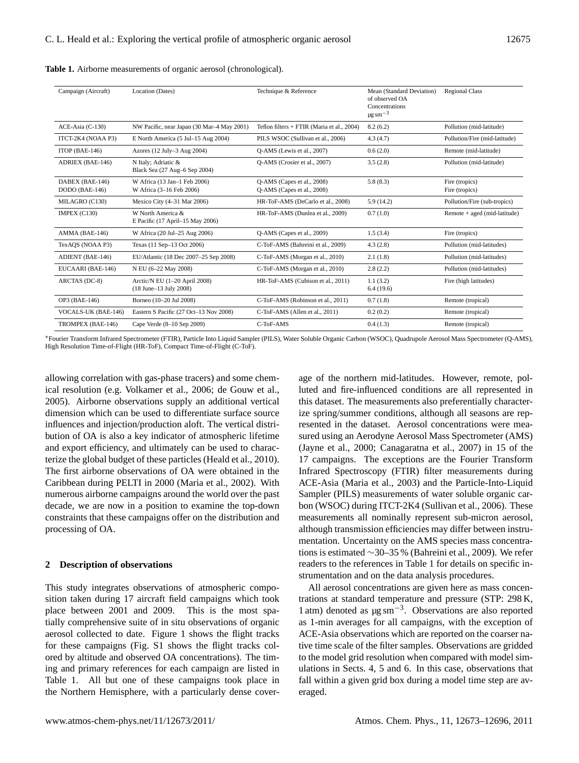|  |  |  |  |  | <b>Table 1.</b> Airborne measurements of organic aerosol (chronological). |  |  |  |  |  |  |  |
|--|--|--|--|--|---------------------------------------------------------------------------|--|--|--|--|--|--|--|
|--|--|--|--|--|---------------------------------------------------------------------------|--|--|--|--|--|--|--|

| Campaign (Aircraft)               | Location (Dates)                                         | Technique & Reference                                    | Mean (Standard Deviation)<br>of observed OA<br>Concentrations<br>$\mu$ g sm <sup>-3</sup> | <b>Regional Class</b>            |
|-----------------------------------|----------------------------------------------------------|----------------------------------------------------------|-------------------------------------------------------------------------------------------|----------------------------------|
| $ACE-Asia (C-130)$                | NW Pacific, near Japan (30 Mar-4 May 2001)               | Teflon filters + FTIR (Maria et al., 2004)               | 8.2(6.2)                                                                                  | Pollution (mid-latitude)         |
| ITCT-2K4 (NOAA P3)                | E North America (5 Jul–15 Aug 2004)                      | PILS WSOC (Sullivan et al., 2006)                        | 4.3(4.7)                                                                                  | Pollution/Fire (mid-latitude)    |
| $ITOP$ (BAE-146)                  | Azores (12 July-3 Aug 2004)                              | Q-AMS (Lewis et al., 2007)                               | 0.6(2.0)                                                                                  | Remote (mid-latitude)            |
| ADRIEX (BAE-146)                  | N Italy; Adriatic &<br>Black Sea (27 Aug-6 Sep 2004)     | Q-AMS (Crosier et al., 2007)                             | 3.5(2.8)                                                                                  | Pollution (mid-latitude)         |
| DABEX (BAE-146)<br>DODO (BAE-146) | W Africa (13 Jan-1 Feb 2006)<br>W Africa (3-16 Feb 2006) | O-AMS (Capes et al., 2008)<br>Q-AMS (Capes et al., 2008) | 5.8(8.3)                                                                                  | Fire (tropics)<br>Fire (tropics) |
| MILAGRO (C130)                    | Mexico City (4-31 Mar 2006)                              | HR-ToF-AMS (DeCarlo et al., 2008)                        | 5.9(14.2)                                                                                 | Pollution/Fire (sub-tropics)     |
| IMPEX (C130)                      | W North America &<br>E Pacific (17 April-15 May 2006)    | HR-ToF-AMS (Dunlea et al., 2009)                         | 0.7(1.0)                                                                                  | $Remote + aged (mid-latitude)$   |
| AMMA (BAE-146)                    | W Africa (20 Jul-25 Aug 2006)                            | Q-AMS (Capes et al., 2009)                               | 1.5(3.4)                                                                                  | Fire (tropics)                   |
| TexAQS (NOAA P3)                  | Texas (11 Sep-13 Oct 2006)                               | C-ToF-AMS (Bahreini et al., 2009)                        | 4.3(2.8)                                                                                  | Pollution (mid-latitudes)        |
| ADIENT (BAE-146)                  | EU/Atlantic (18 Dec 2007-25 Sep 2008)                    | C-ToF-AMS (Morgan et al., 2010)                          | 2.1(1.8)                                                                                  | Pollution (mid-latitudes)        |
| EUCAARI (BAE-146)                 | N EU (6-22 May 2008)                                     | C-ToF-AMS (Morgan et al., 2010)                          | 2.8(2.2)                                                                                  | Pollution (mid-latitudes)        |
| ARCTAS (DC-8)                     | Arctic/N EU (1-20 April 2008)<br>(18 June–13 July 2008)  | HR-ToF-AMS (Cubison et al., 2011)                        | 1.1(3.2)<br>6.4(19.6)                                                                     | Fire (high latitudes)            |
| OP3 (BAE-146)                     | Borneo (10-20 Jul 2008)                                  | C-ToF-AMS (Robinson et al., 2011)                        | 0.7(1.8)                                                                                  | Remote (tropical)                |
| VOCALS-UK (BAE-146)               | Eastern S Pacific (27 Oct-13 Nov 2008)                   | C-ToF-AMS (Allen et al., 2011)                           | 0.2(0.2)                                                                                  | Remote (tropical)                |
| TROMPEX (BAE-146)                 | Cape Verde (8-10 Sep 2009)                               | C-ToF-AMS                                                | 0.4(1.3)                                                                                  | Remote (tropical)                |

<sup>∗</sup>Fourier Transform Infrared Spectrometer (FTIR), Particle Into Liquid Sampler (PILS), Water Soluble Organic Carbon (WSOC), Quadrupole Aerosol Mass Spectrometer (Q-AMS), High Resolution Time-of-Flight (HR-ToF), Compact Time-of-Flight (C-ToF).

allowing correlation with gas-phase tracers) and some chemical resolution (e.g. Volkamer et al., 2006; de Gouw et al., 2005). Airborne observations supply an additional vertical dimension which can be used to differentiate surface source influences and injection/production aloft. The vertical distribution of OA is also a key indicator of atmospheric lifetime and export efficiency, and ultimately can be used to characterize the global budget of these particles (Heald et al., 2010). The first airborne observations of OA were obtained in the Caribbean during PELTI in 2000 (Maria et al., 2002). With numerous airborne campaigns around the world over the past decade, we are now in a position to examine the top-down constraints that these campaigns offer on the distribution and processing of OA.

#### **2 Description of observations**

This study integrates observations of atmospheric composition taken during 17 aircraft field campaigns which took place between 2001 and 2009. This is the most spatially comprehensive suite of in situ observations of organic aerosol collected to date. Figure 1 shows the flight tracks for these campaigns (Fig. S1 shows the flight tracks colored by altitude and observed OA concentrations). The timing and primary references for each campaign are listed in Table 1. All but one of these campaigns took place in the Northern Hemisphere, with a particularly dense cover-

age of the northern mid-latitudes. However, remote, polluted and fire-influenced conditions are all represented in this dataset. The measurements also preferentially characterize spring/summer conditions, although all seasons are represented in the dataset. Aerosol concentrations were measured using an Aerodyne Aerosol Mass Spectrometer (AMS) (Jayne et al., 2000; Canagaratna et al., 2007) in 15 of the 17 campaigns. The exceptions are the Fourier Transform Infrared Spectroscopy (FTIR) filter measurements during ACE-Asia (Maria et al., 2003) and the Particle-Into-Liquid Sampler (PILS) measurements of water soluble organic carbon (WSOC) during ITCT-2K4 (Sullivan et al., 2006). These measurements all nominally represent sub-micron aerosol, although transmission efficiencies may differ between instrumentation. Uncertainty on the AMS species mass concentrations is estimated ∼30–35 % (Bahreini et al., 2009). We refer readers to the references in Table 1 for details on specific instrumentation and on the data analysis procedures.

All aerosol concentrations are given here as mass concentrations at standard temperature and pressure (STP: 298 K, 1 atm) denoted as μg sm<sup>-3</sup>. Observations are also reported as 1-min averages for all campaigns, with the exception of ACE-Asia observations which are reported on the coarser native time scale of the filter samples. Observations are gridded to the model grid resolution when compared with model simulations in Sects. 4, 5 and 6. In this case, observations that fall within a given grid box during a model time step are averaged.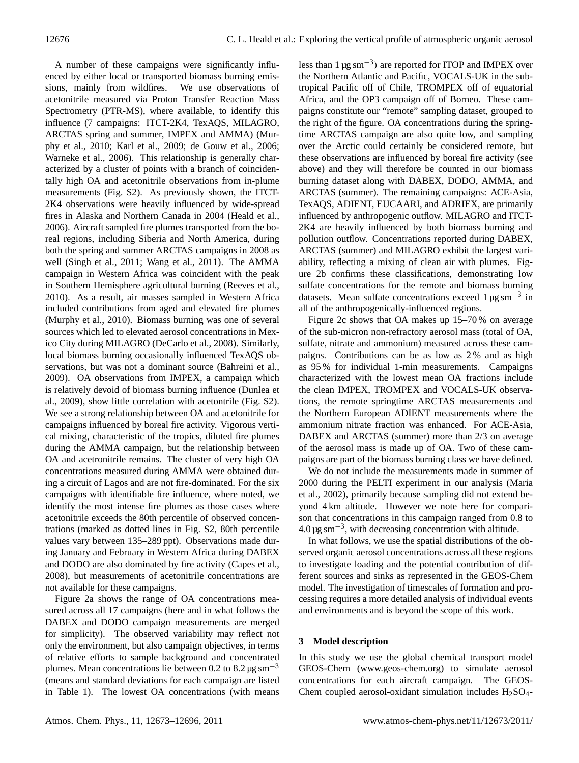A number of these campaigns were significantly influenced by either local or transported biomass burning emissions, mainly from wildfires. We use observations of acetonitrile measured via Proton Transfer Reaction Mass Spectrometry (PTR-MS), where available, to identify this influence (7 campaigns: ITCT-2K4, TexAQS, MILAGRO, ARCTAS spring and summer, IMPEX and AMMA) (Murphy et al., 2010; Karl et al., 2009; de Gouw et al., 2006; Warneke et al., 2006). This relationship is generally characterized by a cluster of points with a branch of coincidentally high OA and acetonitrile observations from in-plume measurements (Fig. S2). As previously shown, the ITCT-2K4 observations were heavily influenced by wide-spread fires in Alaska and Northern Canada in 2004 (Heald et al., 2006). Aircraft sampled fire plumes transported from the boreal regions, including Siberia and North America, during both the spring and summer ARCTAS campaigns in 2008 as well (Singh et al., 2011; Wang et al., 2011). The AMMA campaign in Western Africa was coincident with the peak in Southern Hemisphere agricultural burning (Reeves et al., 2010). As a result, air masses sampled in Western Africa included contributions from aged and elevated fire plumes (Murphy et al., 2010). Biomass burning was one of several sources which led to elevated aerosol concentrations in Mexico City during MILAGRO (DeCarlo et al., 2008). Similarly, local biomass burning occasionally influenced TexAQS observations, but was not a dominant source (Bahreini et al., 2009). OA observations from IMPEX, a campaign which is relatively devoid of biomass burning influence (Dunlea et al., 2009), show little correlation with acetontrile (Fig. S2). We see a strong relationship between OA and acetonitrile for campaigns influenced by boreal fire activity. Vigorous vertical mixing, characteristic of the tropics, diluted fire plumes during the AMMA campaign, but the relationship between OA and acetronitrile remains. The cluster of very high OA concentrations measured during AMMA were obtained during a circuit of Lagos and are not fire-dominated. For the six campaigns with identifiable fire influence, where noted, we identify the most intense fire plumes as those cases where acetonitrile exceeds the 80th percentile of observed concentrations (marked as dotted lines in Fig. S2, 80th percentile values vary between 135–289 ppt). Observations made during January and February in Western Africa during DABEX and DODO are also dominated by fire activity (Capes et al., 2008), but measurements of acetonitrile concentrations are not available for these campaigns.

Figure 2a shows the range of OA concentrations measured across all 17 campaigns (here and in what follows the DABEX and DODO campaign measurements are merged for simplicity). The observed variability may reflect not only the environment, but also campaign objectives, in terms of relative efforts to sample background and concentrated plumes. Mean concentrations lie between 0.2 to  $8.2 \,\mu g \, \text{sm}^{-3}$ (means and standard deviations for each campaign are listed in Table 1). The lowest OA concentrations (with means

less than  $1 \mu g \text{ sm}^{-3}$ ) are reported for ITOP and IMPEX over the Northern Atlantic and Pacific, VOCALS-UK in the subtropical Pacific off of Chile, TROMPEX off of equatorial Africa, and the OP3 campaign off of Borneo. These campaigns constitute our "remote" sampling dataset, grouped to the right of the figure. OA concentrations during the springtime ARCTAS campaign are also quite low, and sampling over the Arctic could certainly be considered remote, but these observations are influenced by boreal fire activity (see above) and they will therefore be counted in our biomass burning dataset along with DABEX, DODO, AMMA, and ARCTAS (summer). The remaining campaigns: ACE-Asia, TexAQS, ADIENT, EUCAARI, and ADRIEX, are primarily influenced by anthropogenic outflow. MILAGRO and ITCT-2K4 are heavily influenced by both biomass burning and pollution outflow. Concentrations reported during DABEX, ARCTAS (summer) and MILAGRO exhibit the largest variability, reflecting a mixing of clean air with plumes. Figure 2b confirms these classifications, demonstrating low sulfate concentrations for the remote and biomass burning datasets. Mean sulfate concentrations exceed  $1 \mu g \text{ sm}^{-3}$  in all of the anthropogenically-influenced regions.

Figure 2c shows that OA makes up 15–70 % on average of the sub-micron non-refractory aerosol mass (total of OA, sulfate, nitrate and ammonium) measured across these campaigns. Contributions can be as low as 2 % and as high as 95 % for individual 1-min measurements. Campaigns characterized with the lowest mean OA fractions include the clean IMPEX, TROMPEX and VOCALS-UK observations, the remote springtime ARCTAS measurements and the Northern European ADIENT measurements where the ammonium nitrate fraction was enhanced. For ACE-Asia, DABEX and ARCTAS (summer) more than 2/3 on average of the aerosol mass is made up of OA. Two of these campaigns are part of the biomass burning class we have defined.

We do not include the measurements made in summer of 2000 during the PELTI experiment in our analysis (Maria et al., 2002), primarily because sampling did not extend beyond 4 km altitude. However we note here for comparison that concentrations in this campaign ranged from 0.8 to 4.0 µg sm−<sup>3</sup> , with decreasing concentration with altitude.

In what follows, we use the spatial distributions of the observed organic aerosol concentrations across all these regions to investigate loading and the potential contribution of different sources and sinks as represented in the GEOS-Chem model. The investigation of timescales of formation and processing requires a more detailed analysis of individual events and environments and is beyond the scope of this work.

#### **3 Model description**

In this study we use the global chemical transport model GEOS-Chem [\(www.geos-chem.org\)](www.geos-chem.org) to simulate aerosol concentrations for each aircraft campaign. The GEOS-Chem coupled aerosol-oxidant simulation includes  $H_2SO_4$ -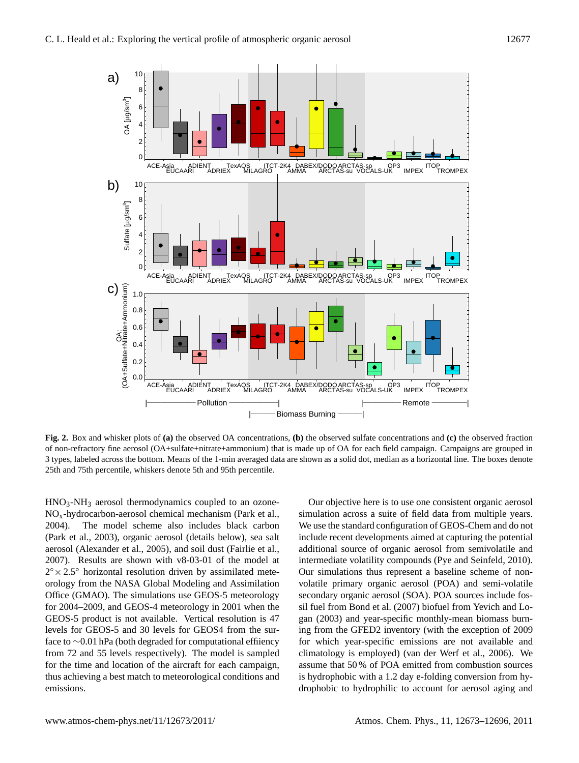

**Fig. 2.** Box and whisker plots of **(a)** the observed OA concentrations, **(b)** the observed sulfate concentrations and **(c)** the observed fraction of non-refractory fine aerosol (OA+sulfate+nitrate+ammonium) that is made up of OA for each field campaign. Campaigns are grouped in 3 types, labeled across the bottom. Means of the 1-min averaged data are shown as a solid dot, median as a horizontal line. The boxes denote 25th and 75th percentile, whiskers denote 5th and 95th percentile.

HNO3-NH<sup>3</sup> aerosol thermodynamics coupled to an ozone- $NO<sub>x</sub>$ -hydrocarbon-aerosol chemical mechanism (Park et al., 2004). The model scheme also includes black carbon (Park et al., 2003), organic aerosol (details below), sea salt aerosol (Alexander et al., 2005), and soil dust (Fairlie et al., 2007). Results are shown with v8-03-01 of the model at  $2^{\circ} \times 2.5^{\circ}$  horizontal resolution driven by assimilated meteorology from the NASA Global Modeling and Assimilation Office (GMAO). The simulations use GEOS-5 meteorology for 2004–2009, and GEOS-4 meteorology in 2001 when the GEOS-5 product is not available. Vertical resolution is 47 levels for GEOS-5 and 30 levels for GEOS4 from the surface to ∼0.01 hPa (both degraded for computational effiiency from 72 and 55 levels respectively). The model is sampled for the time and location of the aircraft for each campaign, thus achieving a best match to meteorological conditions and emissions.

Our objective here is to use one consistent organic aerosol simulation across a suite of field data from multiple years. We use the standard configuration of GEOS-Chem and do not include recent developments aimed at capturing the potential additional source of organic aerosol from semivolatile and intermediate volatility compounds (Pye and Seinfeld, 2010). Our simulations thus represent a baseline scheme of nonvolatile primary organic aerosol (POA) and semi-volatile secondary organic aerosol (SOA). POA sources include fossil fuel from Bond et al. (2007) biofuel from Yevich and Logan (2003) and year-specific monthly-mean biomass burning from the GFED2 inventory (with the exception of 2009 for which year-specific emissions are not available and climatology is employed) (van der Werf et al., 2006). We assume that 50 % of POA emitted from combustion sources is hydrophobic with a 1.2 day e-folding conversion from hydrophobic to hydrophilic to account for aerosol aging and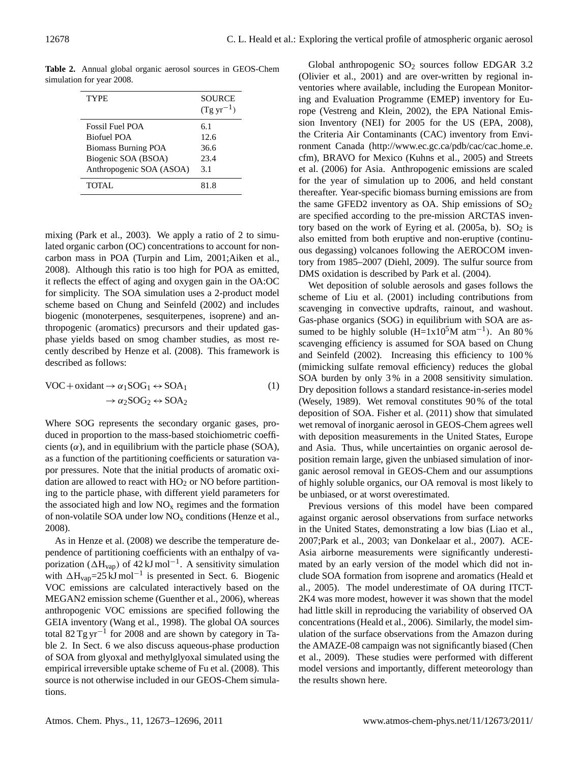**Table 2.** Annual global organic aerosol sources in GEOS-Chem simulation for year 2008.

| <b>TYPE</b>                | <b>SOURCE</b><br>$(Tgyr^{-1})$ |
|----------------------------|--------------------------------|
| <b>Fossil Fuel POA</b>     | 6.1                            |
| <b>Biofuel POA</b>         | 12.6                           |
| <b>Biomass Burning POA</b> | 36.6                           |
| Biogenic SOA (BSOA)        | 23.4                           |
| Anthropogenic SOA (ASOA)   | 3.1                            |
| TOTAL.                     | 81.8                           |

mixing (Park et al., 2003). We apply a ratio of 2 to simulated organic carbon (OC) concentrations to account for noncarbon mass in POA (Turpin and Lim, 2001;Aiken et al., 2008). Although this ratio is too high for POA as emitted, it reflects the effect of aging and oxygen gain in the OA:OC for simplicity. The SOA simulation uses a 2-product model scheme based on Chung and Seinfeld (2002) and includes biogenic (monoterpenes, sesquiterpenes, isoprene) and anthropogenic (aromatics) precursors and their updated gasphase yields based on smog chamber studies, as most recently described by Henze et al. (2008). This framework is described as follows:

$$
VOC + oxidant \rightarrow \alpha_1 SOG_1 \leftrightarrow SOA_1
$$
  

$$
\rightarrow \alpha_2 SOG_2 \leftrightarrow SOA_2
$$
 (1)

Where SOG represents the secondary organic gases, produced in proportion to the mass-based stoichiometric coefficients  $(\alpha)$ , and in equilibrium with the particle phase (SOA), as a function of the partitioning coefficients or saturation vapor pressures. Note that the initial products of aromatic oxidation are allowed to react with  $HO<sub>2</sub>$  or NO before partitioning to the particle phase, with different yield parameters for the associated high and low  $NO<sub>x</sub>$  regimes and the formation of non-volatile SOA under low  $NO<sub>x</sub>$  conditions (Henze et al., 2008).

As in Henze et al. (2008) we describe the temperature dependence of partitioning coefficients with an enthalpy of vaporization ( $\Delta H_{vap}$ ) of 42 kJ mol<sup>-1</sup>. A sensitivity simulation with  $\Delta H_{vap}$ =25 kJ mol<sup>-1</sup> is presented in Sect. 6. Biogenic VOC emissions are calculated interactively based on the MEGAN2 emission scheme (Guenther et al., 2006), whereas anthropogenic VOC emissions are specified following the GEIA inventory (Wang et al., 1998). The global OA sources total 82 Tg yr−<sup>1</sup> for 2008 and are shown by category in Table 2. In Sect. 6 we also discuss aqueous-phase production of SOA from glyoxal and methylglyoxal simulated using the empirical irreversible uptake scheme of Fu et al. (2008). This source is not otherwise included in our GEOS-Chem simulations.

Global anthropogenic  $SO_2$  sources follow EDGAR 3.2 (Olivier et al., 2001) and are over-written by regional inventories where available, including the European Monitoring and Evaluation Programme (EMEP) inventory for Europe (Vestreng and Klein, 2002), the EPA National Emission Inventory (NEI) for 2005 for the US (EPA, 2008), the Criteria Air Contaminants (CAC) inventory from Environment Canada [\(http://www.ec.gc.ca/pdb/cac/cac](http://www.ec.gc.ca/pdb/cac/cac_home_e.cfm) home e. [cfm\)](http://www.ec.gc.ca/pdb/cac/cac_home_e.cfm), BRAVO for Mexico (Kuhns et al., 2005) and Streets et al. (2006) for Asia. Anthropogenic emissions are scaled for the year of simulation up to 2006, and held constant thereafter. Year-specific biomass burning emissions are from the same GFED2 inventory as OA. Ship emissions of  $SO<sub>2</sub>$ are specified according to the pre-mission ARCTAS inventory based on the work of Eyring et al.  $(2005a, b)$ .  $SO<sub>2</sub>$  is also emitted from both eruptive and non-eruptive (continuous degassing) volcanoes following the AEROCOM inventory from 1985–2007 (Diehl, 2009). The sulfur source from DMS oxidation is described by Park et al. (2004).

Wet deposition of soluble aerosols and gases follows the scheme of Liu et al. (2001) including contributions from scavenging in convective updrafts, rainout, and washout. Gas-phase organics (SOG) in equilibrium with SOA are assumed to be highly soluble  $(H=1x10^5M \text{ atm}^{-1})$ . An 80% scavenging efficiency is assumed for SOA based on Chung and Seinfeld (2002). Increasing this efficiency to 100 % (mimicking sulfate removal efficiency) reduces the global SOA burden by only 3 % in a 2008 sensitivity simulation. Dry deposition follows a standard resistance-in-series model (Wesely, 1989). Wet removal constitutes 90 % of the total deposition of SOA. Fisher et al. (2011) show that simulated wet removal of inorganic aerosol in GEOS-Chem agrees well with deposition measurements in the United States, Europe and Asia. Thus, while uncertainties on organic aerosol deposition remain large, given the unbiased simulation of inorganic aerosol removal in GEOS-Chem and our assumptions of highly soluble organics, our OA removal is most likely to be unbiased, or at worst overestimated.

Previous versions of this model have been compared against organic aerosol observations from surface networks in the United States, demonstrating a low bias (Liao et al., 2007;Park et al., 2003; van Donkelaar et al., 2007). ACE-Asia airborne measurements were significantly underestimated by an early version of the model which did not include SOA formation from isoprene and aromatics (Heald et al., 2005). The model underestimate of OA during ITCT-2K4 was more modest, however it was shown that the model had little skill in reproducing the variability of observed OA concentrations (Heald et al., 2006). Similarly, the model simulation of the surface observations from the Amazon during the AMAZE-08 campaign was not significantly biased (Chen et al., 2009). These studies were performed with different model versions and importantly, different meteorology than the results shown here.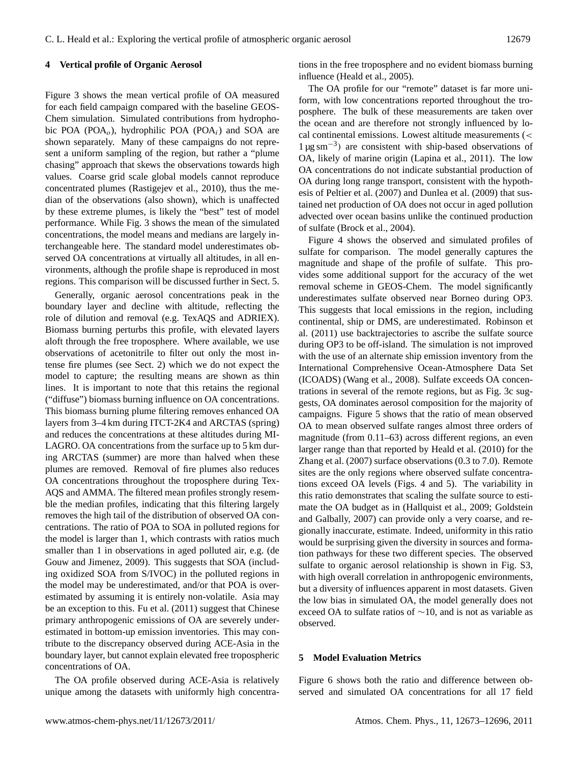## **4 Vertical profile of Organic Aerosol**

Figure 3 shows the mean vertical profile of OA measured for each field campaign compared with the baseline GEOS-Chem simulation. Simulated contributions from hydrophobic POA (POA<sub>o</sub>), hydrophilic POA (POA<sub>i</sub>) and SOA are shown separately. Many of these campaigns do not represent a uniform sampling of the region, but rather a "plume chasing" approach that skews the observations towards high values. Coarse grid scale global models cannot reproduce concentrated plumes (Rastigejev et al., 2010), thus the median of the observations (also shown), which is unaffected by these extreme plumes, is likely the "best" test of model performance. While Fig. 3 shows the mean of the simulated concentrations, the model means and medians are largely interchangeable here. The standard model underestimates observed OA concentrations at virtually all altitudes, in all environments, although the profile shape is reproduced in most regions. This comparison will be discussed further in Sect. 5.

Generally, organic aerosol concentrations peak in the boundary layer and decline with altitude, reflecting the role of dilution and removal (e.g. TexAQS and ADRIEX). Biomass burning perturbs this profile, with elevated layers aloft through the free troposphere. Where available, we use observations of acetonitrile to filter out only the most intense fire plumes (see Sect. 2) which we do not expect the model to capture; the resulting means are shown as thin lines. It is important to note that this retains the regional ("diffuse") biomass burning influence on OA concentrations. This biomass burning plume filtering removes enhanced OA layers from 3–4 km during ITCT-2K4 and ARCTAS (spring) and reduces the concentrations at these altitudes during MI-LAGRO. OA concentrations from the surface up to 5 km during ARCTAS (summer) are more than halved when these plumes are removed. Removal of fire plumes also reduces OA concentrations throughout the troposphere during Tex-AQS and AMMA. The filtered mean profiles strongly resemble the median profiles, indicating that this filtering largely removes the high tail of the distribution of observed OA concentrations. The ratio of POA to SOA in polluted regions for the model is larger than 1, which contrasts with ratios much smaller than 1 in observations in aged polluted air, e.g. (de Gouw and Jimenez, 2009). This suggests that SOA (including oxidized SOA from S/IVOC) in the polluted regions in the model may be underestimated, and/or that POA is overestimated by assuming it is entirely non-volatile. Asia may be an exception to this. Fu et al. (2011) suggest that Chinese primary anthropogenic emissions of OA are severely underestimated in bottom-up emission inventories. This may contribute to the discrepancy observed during ACE-Asia in the boundary layer, but cannot explain elevated free tropospheric concentrations of OA.

The OA profile observed during ACE-Asia is relatively unique among the datasets with uniformly high concentrations in the free troposphere and no evident biomass burning influence (Heald et al., 2005).

The OA profile for our "remote" dataset is far more uniform, with low concentrations reported throughout the troposphere. The bulk of these measurements are taken over the ocean and are therefore not strongly influenced by local continental emissions. Lowest altitude measurements (< 1 µg sm−<sup>3</sup> ) are consistent with ship-based observations of OA, likely of marine origin (Lapina et al., 2011). The low OA concentrations do not indicate substantial production of OA during long range transport, consistent with the hypothesis of Peltier et al. (2007) and Dunlea et al. (2009) that sustained net production of OA does not occur in aged pollution advected over ocean basins unlike the continued production of sulfate (Brock et al., 2004).

Figure 4 shows the observed and simulated profiles of sulfate for comparison. The model generally captures the magnitude and shape of the profile of sulfate. This provides some additional support for the accuracy of the wet removal scheme in GEOS-Chem. The model significantly underestimates sulfate observed near Borneo during OP3. This suggests that local emissions in the region, including continental, ship or DMS, are underestimated. Robinson et al. (2011) use backtrajectories to ascribe the sulfate source during OP3 to be off-island. The simulation is not improved with the use of an alternate ship emission inventory from the International Comprehensive Ocean-Atmosphere Data Set (ICOADS) (Wang et al., 2008). Sulfate exceeds OA concentrations in several of the remote regions, but as Fig. 3c suggests, OA dominates aerosol composition for the majority of campaigns. Figure 5 shows that the ratio of mean observed OA to mean observed sulfate ranges almost three orders of magnitude (from 0.11–63) across different regions, an even larger range than that reported by Heald et al. (2010) for the Zhang et al. (2007) surface observations (0.3 to 7.0). Remote sites are the only regions where observed sulfate concentrations exceed OA levels (Figs. 4 and 5). The variability in this ratio demonstrates that scaling the sulfate source to estimate the OA budget as in (Hallquist et al., 2009; Goldstein and Galbally, 2007) can provide only a very coarse, and regionally inaccurate, estimate. Indeed, uniformity in this ratio would be surprising given the diversity in sources and formation pathways for these two different species. The observed sulfate to organic aerosol relationship is shown in Fig. S3, with high overall correlation in anthropogenic environments, but a diversity of influences apparent in most datasets. Given the low bias in simulated OA, the model generally does not exceed OA to sulfate ratios of ∼10, and is not as variable as observed.

#### **5 Model Evaluation Metrics**

Figure 6 shows both the ratio and difference between observed and simulated OA concentrations for all 17 field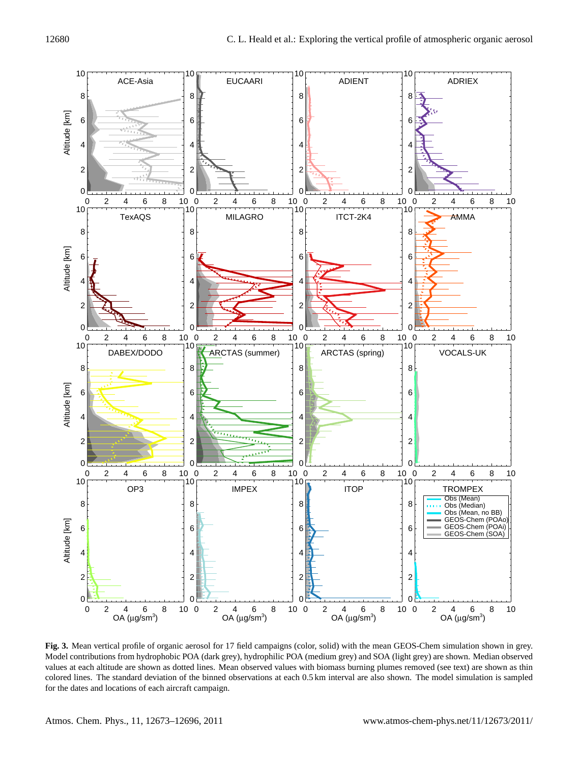

**Fig. 3.** Mean vertical profile of organic aerosol for 17 field campaigns (color, solid) with the mean GEOS-Chem simulation shown in grey. Model contributions from hydrophobic POA (dark grey), hydrophilic POA (medium grey) and SOA (light grey) are shown. Median observed values at each altitude are shown as dotted lines. Mean observed values with biomass burning plumes removed (see text) are shown as thin colored lines. The standard deviation of the binned observations at each 0.5 km interval are also shown. The model simulation is sampled for the dates and locations of each aircraft campaign.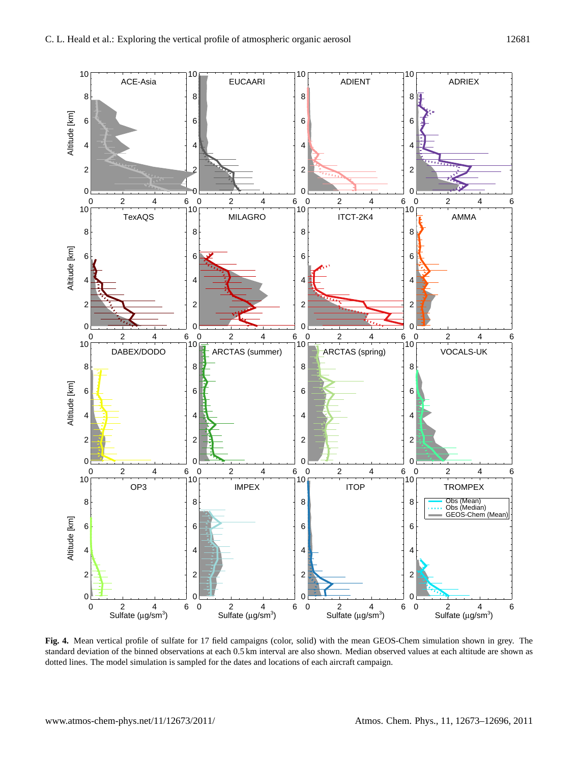

**Fig. 4.** Mean vertical profile of sulfate for 17 field campaigns (color, solid) with the mean GEOS-Chem simulation shown in grey. The standard deviation of the binned observations at each 0.5 km interval are also shown. Median observed values at each altitude are shown as dotted lines. The model simulation is sampled for the dates and locations of each aircraft campaign.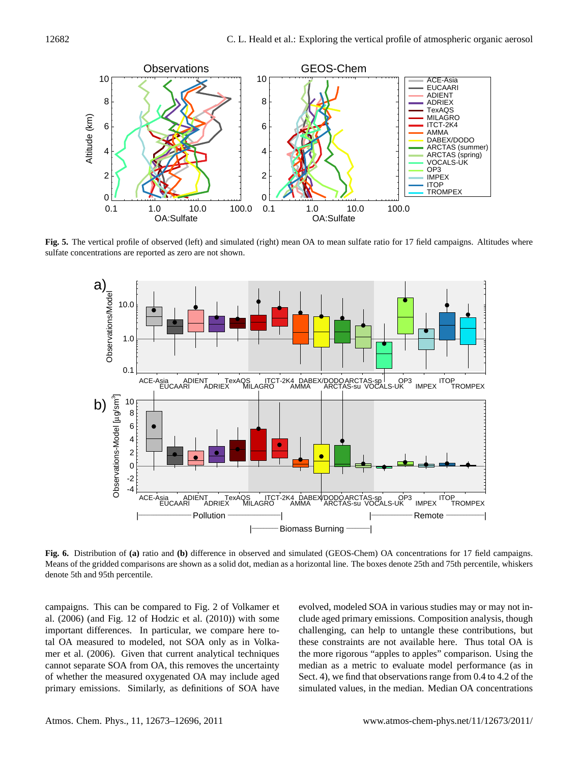

**Fig. 5.** The vertical profile of observed (left) and simulated (right) mean OA to mean sulfate ratio for 17 field campaigns. Altitudes where sulfate concentrations are reported as zero are not shown.



**Fig. 6.** Distribution of **(a)** ratio and **(b)** difference in observed and simulated (GEOS-Chem) OA concentrations for 17 field campaigns. Means of the gridded comparisons are shown as a solid dot, median as a horizontal line. The boxes denote 25th and 75th percentile, whiskers denote 5th and 95th percentile.

campaigns. This can be compared to Fig. 2 of Volkamer et al. (2006) (and Fig. 12 of Hodzic et al. (2010)) with some important differences. In particular, we compare here total OA measured to modeled, not SOA only as in Volkamer et al. (2006). Given that current analytical techniques cannot separate SOA from OA, this removes the uncertainty of whether the measured oxygenated OA may include aged primary emissions. Similarly, as definitions of SOA have evolved, modeled SOA in various studies may or may not include aged primary emissions. Composition analysis, though challenging, can help to untangle these contributions, but these constraints are not available here. Thus total OA is the more rigorous "apples to apples" comparison. Using the median as a metric to evaluate model performance (as in Sect. 4), we find that observations range from 0.4 to 4.2 of the simulated values, in the median. Median OA concentrations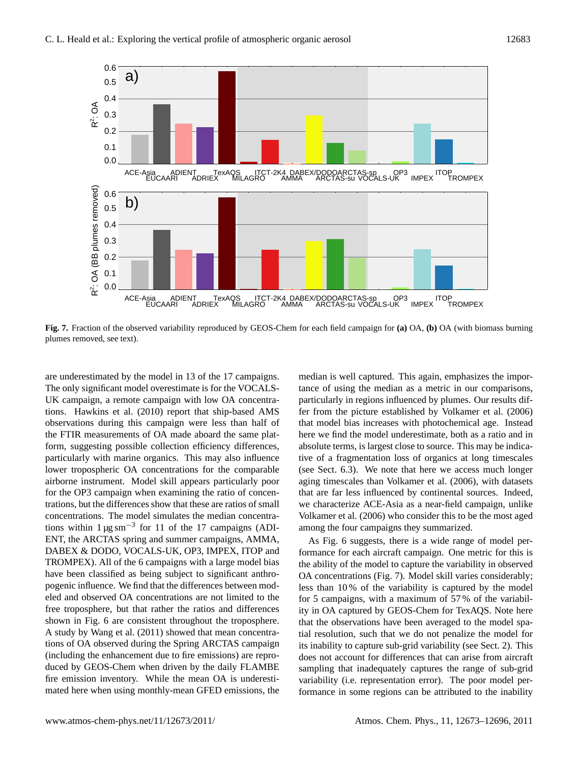

**Fig. 7.** Fraction of the observed variability reproduced by GEOS-Chem for each field campaign for **(a)** OA, **(b)** OA (with biomass burning plumes removed, see text).

are underestimated by the model in 13 of the 17 campaigns. The only significant model overestimate is for the VOCALS-UK campaign, a remote campaign with low OA concentrations. Hawkins et al. (2010) report that ship-based AMS observations during this campaign were less than half of the FTIR measurements of OA made aboard the same platform, suggesting possible collection efficiency differences, particularly with marine organics. This may also influence lower tropospheric OA concentrations for the comparable airborne instrument. Model skill appears particularly poor for the OP3 campaign when examining the ratio of concentrations, but the differences show that these are ratios of small concentrations. The model simulates the median concentrations within  $1 \mu g \text{ sm}^{-3}$  for 11 of the 17 campaigns (ADI-ENT, the ARCTAS spring and summer campaigns, AMMA, DABEX & DODO, VOCALS-UK, OP3, IMPEX, ITOP and TROMPEX). All of the 6 campaigns with a large model bias have been classified as being subject to significant anthropogenic influence. We find that the differences between modeled and observed OA concentrations are not limited to the free troposphere, but that rather the ratios and differences shown in Fig. 6 are consistent throughout the troposphere. A study by Wang et al. (2011) showed that mean concentrations of OA observed during the Spring ARCTAS campaign (including the enhancement due to fire emissions) are reproduced by GEOS-Chem when driven by the daily FLAMBE fire emission inventory. While the mean OA is underestimated here when using monthly-mean GFED emissions, the median is well captured. This again, emphasizes the importance of using the median as a metric in our comparisons, particularly in regions influenced by plumes. Our results differ from the picture established by Volkamer et al. (2006) that model bias increases with photochemical age. Instead here we find the model underestimate, both as a ratio and in absolute terms, is largest close to source. This may be indicative of a fragmentation loss of organics at long timescales (see Sect. 6.3). We note that here we access much longer aging timescales than Volkamer et al. (2006), with datasets that are far less influenced by continental sources. Indeed, we characterize ACE-Asia as a near-field campaign, unlike Volkamer et al. (2006) who consider this to be the most aged among the four campaigns they summarized.

As Fig. 6 suggests, there is a wide range of model performance for each aircraft campaign. One metric for this is the ability of the model to capture the variability in observed OA concentrations (Fig. 7). Model skill varies considerably; less than 10 % of the variability is captured by the model for 5 campaigns, with a maximum of 57 % of the variability in OA captured by GEOS-Chem for TexAQS. Note here that the observations have been averaged to the model spatial resolution, such that we do not penalize the model for its inability to capture sub-grid variability (see Sect. 2). This does not account for differences that can arise from aircraft sampling that inadequately captures the range of sub-grid variability (i.e. representation error). The poor model performance in some regions can be attributed to the inability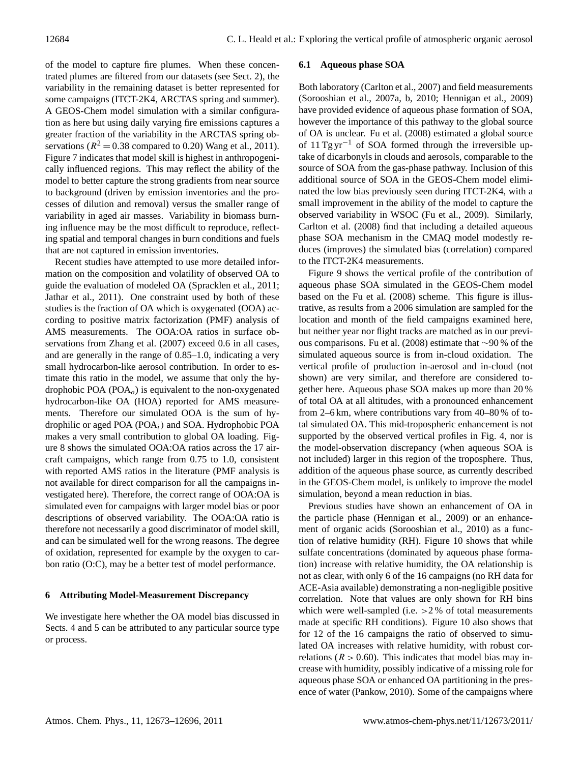of the model to capture fire plumes. When these concentrated plumes are filtered from our datasets (see Sect. 2), the variability in the remaining dataset is better represented for some campaigns (ITCT-2K4, ARCTAS spring and summer). A GEOS-Chem model simulation with a similar configuration as here but using daily varying fire emissions captures a greater fraction of the variability in the ARCTAS spring observations ( $R^2 = 0.38$  compared to 0.20) Wang et al., 2011). Figure 7 indicates that model skill is highest in anthropogenically influenced regions. This may reflect the ability of the model to better capture the strong gradients from near source to background (driven by emission inventories and the processes of dilution and removal) versus the smaller range of variability in aged air masses. Variability in biomass burning influence may be the most difficult to reproduce, reflecting spatial and temporal changes in burn conditions and fuels that are not captured in emission inventories.

Recent studies have attempted to use more detailed information on the composition and volatility of observed OA to guide the evaluation of modeled OA (Spracklen et al., 2011; Jathar et al., 2011). One constraint used by both of these studies is the fraction of OA which is oxygenated (OOA) according to positive matrix factorization (PMF) analysis of AMS measurements. The OOA:OA ratios in surface observations from Zhang et al. (2007) exceed 0.6 in all cases, and are generally in the range of 0.85–1.0, indicating a very small hydrocarbon-like aerosol contribution. In order to estimate this ratio in the model, we assume that only the hydrophobic POA  $(POA<sub>o</sub>)$  is equivalent to the non-oxygenated hydrocarbon-like OA (HOA) reported for AMS measurements. Therefore our simulated OOA is the sum of hydrophilic or aged POA  $(POA_i)$  and SOA. Hydrophobic POA makes a very small contribution to global OA loading. Figure 8 shows the simulated OOA:OA ratios across the 17 aircraft campaigns, which range from 0.75 to 1.0, consistent with reported AMS ratios in the literature (PMF analysis is not available for direct comparison for all the campaigns investigated here). Therefore, the correct range of OOA:OA is simulated even for campaigns with larger model bias or poor descriptions of observed variability. The OOA:OA ratio is therefore not necessarily a good discriminator of model skill, and can be simulated well for the wrong reasons. The degree of oxidation, represented for example by the oxygen to carbon ratio (O:C), may be a better test of model performance.

#### **6 Attributing Model-Measurement Discrepancy**

We investigate here whether the OA model bias discussed in Sects. 4 and 5 can be attributed to any particular source type or process.

#### **6.1 Aqueous phase SOA**

Both laboratory (Carlton et al., 2007) and field measurements (Sorooshian et al., 2007a, b, 2010; Hennigan et al., 2009) have provided evidence of aqueous phase formation of SOA, however the importance of this pathway to the global source of OA is unclear. Fu et al. (2008) estimated a global source of  $11$  Tg yr<sup>-1</sup> of SOA formed through the irreversible uptake of dicarbonyls in clouds and aerosols, comparable to the source of SOA from the gas-phase pathway. Inclusion of this additional source of SOA in the GEOS-Chem model eliminated the low bias previously seen during ITCT-2K4, with a small improvement in the ability of the model to capture the observed variability in WSOC (Fu et al., 2009). Similarly, Carlton et al. (2008) find that including a detailed aqueous phase SOA mechanism in the CMAQ model modestly reduces (improves) the simulated bias (correlation) compared to the ITCT-2K4 measurements.

Figure 9 shows the vertical profile of the contribution of aqueous phase SOA simulated in the GEOS-Chem model based on the Fu et al. (2008) scheme. This figure is illustrative, as results from a 2006 simulation are sampled for the location and month of the field campaigns examined here, but neither year nor flight tracks are matched as in our previous comparisons. Fu et al. (2008) estimate that ∼90 % of the simulated aqueous source is from in-cloud oxidation. The vertical profile of production in-aerosol and in-cloud (not shown) are very similar, and therefore are considered together here. Aqueous phase SOA makes up more than 20 % of total OA at all altitudes, with a pronounced enhancement from 2–6 km, where contributions vary from 40–80 % of total simulated OA. This mid-tropospheric enhancement is not supported by the observed vertical profiles in Fig. 4, nor is the model-observation discrepancy (when aqueous SOA is not included) larger in this region of the troposphere. Thus, addition of the aqueous phase source, as currently described in the GEOS-Chem model, is unlikely to improve the model simulation, beyond a mean reduction in bias.

Previous studies have shown an enhancement of OA in the particle phase (Hennigan et al., 2009) or an enhancement of organic acids (Sorooshian et al., 2010) as a function of relative humidity (RH). Figure 10 shows that while sulfate concentrations (dominated by aqueous phase formation) increase with relative humidity, the OA relationship is not as clear, with only 6 of the 16 campaigns (no RH data for ACE-Asia available) demonstrating a non-negligible positive correlation. Note that values are only shown for RH bins which were well-sampled (i.e.  $>2\%$  of total measurements made at specific RH conditions). Figure 10 also shows that for 12 of the 16 campaigns the ratio of observed to simulated OA increases with relative humidity, with robust correlations ( $R > 0.60$ ). This indicates that model bias may increase with humidity, possibly indicative of a missing role for aqueous phase SOA or enhanced OA partitioning in the presence of water (Pankow, 2010). Some of the campaigns where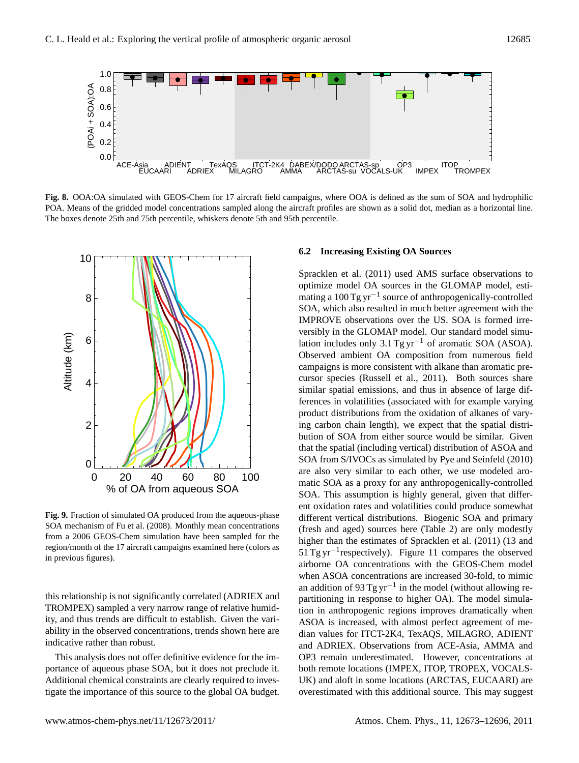

**Fig. 8.** OOA:OA simulated with GEOS-Chem for 17 aircraft field campaigns, where OOA is defined as the sum of SOA and hydrophilic POA. Means of the gridded model concentrations sampled along the aircraft profiles are shown as a solid dot, median as a horizontal line. The boxes denote 25th and 75th percentile, whiskers denote 5th and 95th percentile.



**Fig. 9.** Fraction of simulated OA produced from the aqueous-phase SOA mechanism of Fu et al. (2008). Monthly mean concentrations from a 2006 GEOS-Chem simulation have been sampled for the region/month of the 17 aircraft campaigns examined here (colors as in previous figures).

this relationship is not significantly correlated (ADRIEX and TROMPEX) sampled a very narrow range of relative humidity, and thus trends are difficult to establish. Given the variability in the observed concentrations, trends shown here are indicative rather than robust.

This analysis does not offer definitive evidence for the importance of aqueous phase SOA, but it does not preclude it. Additional chemical constraints are clearly required to investigate the importance of this source to the global OA budget.

#### **6.2 Increasing Existing OA Sources**

Spracklen et al. (2011) used AMS surface observations to optimize model OA sources in the GLOMAP model, estimating a 100 Tg yr<sup>-1</sup> source of anthropogenically-controlled SOA, which also resulted in much better agreement with the IMPROVE observations over the US. SOA is formed irreversibly in the GLOMAP model. Our standard model simulation includes only  $3.1$  Tg yr<sup>-1</sup> of aromatic SOA (ASOA). Observed ambient OA composition from numerous field campaigns is more consistent with alkane than aromatic precursor species (Russell et al., 2011). Both sources share similar spatial emissions, and thus in absence of large differences in volatilities (associated with for example varying product distributions from the oxidation of alkanes of varying carbon chain length), we expect that the spatial distribution of SOA from either source would be similar. Given that the spatial (including vertical) distribution of ASOA and SOA from S/IVOCs as simulated by Pye and Seinfeld (2010) are also very similar to each other, we use modeled aromatic SOA as a proxy for any anthropogenically-controlled SOA. This assumption is highly general, given that different oxidation rates and volatilities could produce somewhat different vertical distributions. Biogenic SOA and primary (fresh and aged) sources here (Table 2) are only modestly higher than the estimates of Spracklen et al. (2011) (13 and 51 Tg yr−<sup>1</sup> respectively). Figure 11 compares the observed airborne OA concentrations with the GEOS-Chem model when ASOA concentrations are increased 30-fold, to mimic an addition of 93 Tg yr<sup>-1</sup> in the model (without allowing repartitioning in response to higher OA). The model simulation in anthropogenic regions improves dramatically when ASOA is increased, with almost perfect agreement of median values for ITCT-2K4, TexAQS, MILAGRO, ADIENT and ADRIEX. Observations from ACE-Asia, AMMA and OP3 remain underestimated. However, concentrations at both remote locations (IMPEX, ITOP, TROPEX, VOCALS-UK) and aloft in some locations (ARCTAS, EUCAARI) are overestimated with this additional source. This may suggest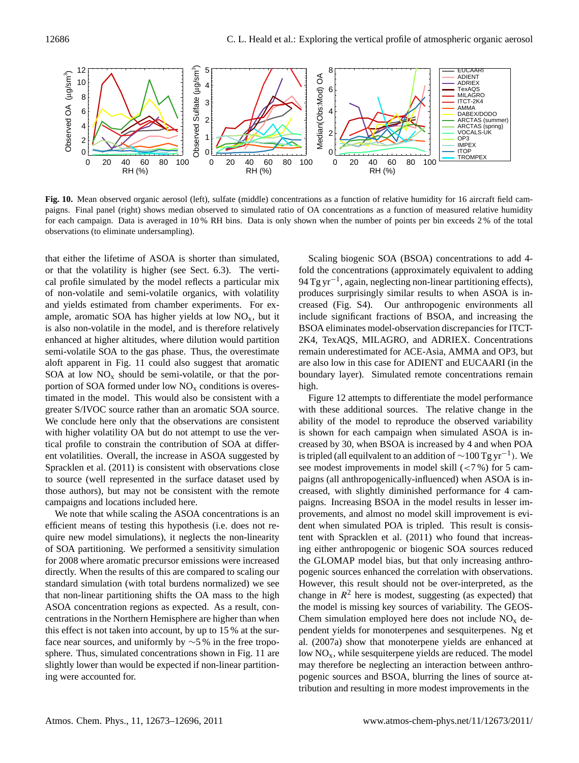

**Fig. 10.** Mean observed organic aerosol (left), sulfate (middle) concentrations as a function of relative humidity for 16 aircraft field campaigns. Final panel (right) shows median observed to simulated ratio of OA concentrations as a function of measured relative humidity for each campaign. Data is averaged in 10 % RH bins. Data is only shown when the number of points per bin exceeds 2 % of the total observations (to eliminate undersampling).

that either the lifetime of ASOA is shorter than simulated, or that the volatility is higher (see Sect. 6.3). The vertical profile simulated by the model reflects a particular mix of non-volatile and semi-volatile organics, with volatility and yields estimated from chamber experiments. For example, aromatic SOA has higher yields at low  $NO<sub>x</sub>$ , but it is also non-volatile in the model, and is therefore relatively enhanced at higher altitudes, where dilution would partition semi-volatile SOA to the gas phase. Thus, the overestimate aloft apparent in Fig. 11 could also suggest that aromatic SOA at low  $NO<sub>x</sub>$  should be semi-volatile, or that the porportion of SOA formed under low  $NO<sub>x</sub>$  conditions is overestimated in the model. This would also be consistent with a greater S/IVOC source rather than an aromatic SOA source. We conclude here only that the observations are consistent with higher volatility OA but do not attempt to use the vertical profile to constrain the contribution of SOA at different volatilities. Overall, the increase in ASOA suggested by Spracklen et al. (2011) is consistent with observations close to source (well represented in the surface dataset used by those authors), but may not be consistent with the remote campaigns and locations included here.

We note that while scaling the ASOA concentrations is an efficient means of testing this hypothesis (i.e. does not require new model simulations), it neglects the non-linearity of SOA partitioning. We performed a sensitivity simulation for 2008 where aromatic precursor emissions were increased directly. When the results of this are compared to scaling our standard simulation (with total burdens normalized) we see that non-linear partitioning shifts the OA mass to the high ASOA concentration regions as expected. As a result, concentrations in the Northern Hemisphere are higher than when this effect is not taken into account, by up to 15 % at the surface near sources, and uniformly by ∼5 % in the free troposphere. Thus, simulated concentrations shown in Fig. 11 are slightly lower than would be expected if non-linear partitioning were accounted for.

Scaling biogenic SOA (BSOA) concentrations to add 4 fold the concentrations (approximately equivalent to adding 94 Tg yr<sup>-1</sup>, again, neglecting non-linear partitioning effects), produces surprisingly similar results to when ASOA is increased (Fig. S4). Our anthropogenic environments all include significant fractions of BSOA, and increasing the BSOA eliminates model-observation discrepancies for ITCT-2K4, TexAQS, MILAGRO, and ADRIEX. Concentrations remain underestimated for ACE-Asia, AMMA and OP3, but are also low in this case for ADIENT and EUCAARI (in the boundary layer). Simulated remote concentrations remain high.

Figure 12 attempts to differentiate the model performance with these additional sources. The relative change in the ability of the model to reproduce the observed variability is shown for each campaign when simulated ASOA is increased by 30, when BSOA is increased by 4 and when POA is tripled (all equilvalent to an addition of  $\sim$ 100 Tg yr<sup>-1</sup>). We see modest improvements in model skill  $\left( \langle 7\% \rangle \right)$  for 5 campaigns (all anthropogenically-influenced) when ASOA is increased, with slightly diminished performance for 4 campaigns. Increasing BSOA in the model results in lesser improvements, and almost no model skill improvement is evident when simulated POA is tripled. This result is consistent with Spracklen et al. (2011) who found that increasing either anthropogenic or biogenic SOA sources reduced the GLOMAP model bias, but that only increasing anthropogenic sources enhanced the correlation with observations. However, this result should not be over-interpreted, as the change in  $R^2$  here is modest, suggesting (as expected) that the model is missing key sources of variability. The GEOS-Chem simulation employed here does not include  $NO<sub>x</sub>$  dependent yields for monoterpenes and sesquiterpenes. Ng et al. (2007a) show that monoterpene yields are enhanced at low  $NO<sub>x</sub>$ , while sesquiterpene yields are reduced. The model may therefore be neglecting an interaction between anthropogenic sources and BSOA, blurring the lines of source attribution and resulting in more modest improvements in the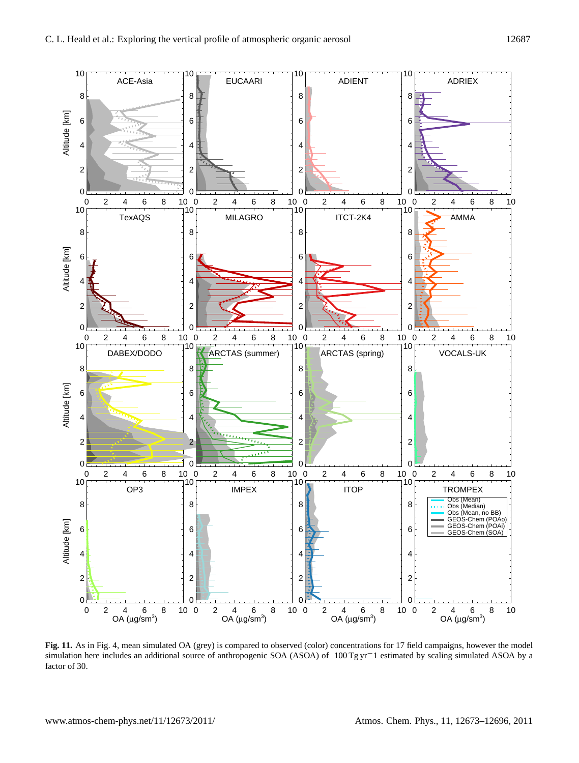

**Fig. 11.** As in Fig. 4, mean simulated OA (grey) is compared to observed (color) concentrations for 17 field campaigns, however the model simulation here includes an additional source of anthropogenic SOA (ASOA) of 100 Tg yr<sup>−1</sup> estimated by scaling simulated ASOA by a factor of 30.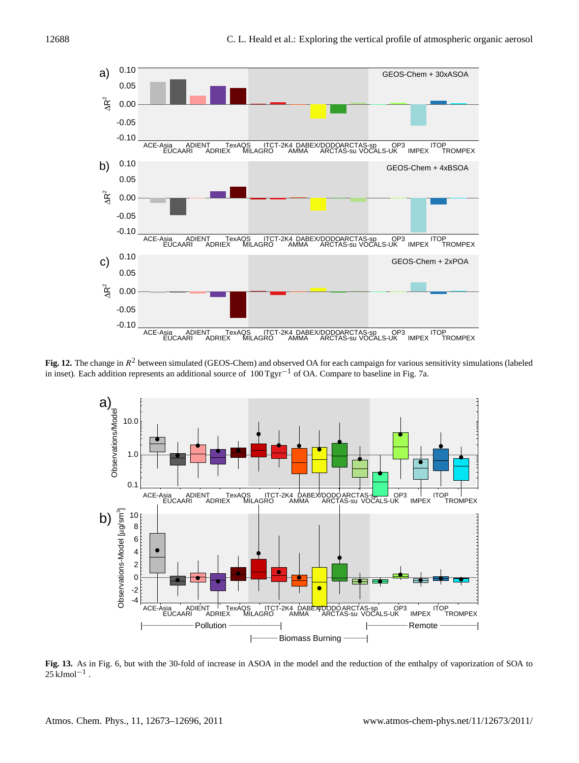

Fig. 12. The change in  $R^2$  between simulated (GEOS-Chem) and observed OA for each campaign for various sensitivity simulations (labeled in inset). Each addition represents an additional source of 100 Tgyr−<sup>1</sup> of OA. Compare to baseline in Fig. 7a.



**Fig. 13.** As in Fig. 6, but with the 30-fold of increase in ASOA in the model and the reduction of the enthalpy of vaporization of SOA to  $25 \text{ kJ} \text{mol}^{-1}$ .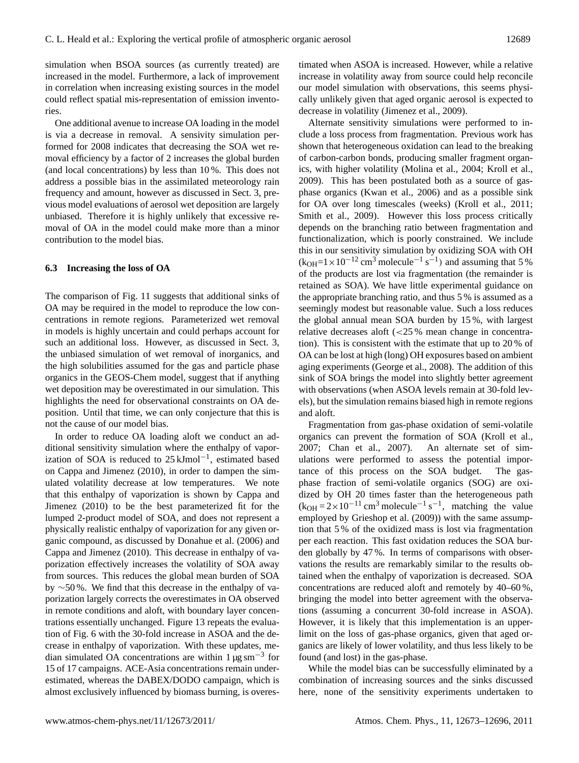simulation when BSOA sources (as currently treated) are increased in the model. Furthermore, a lack of improvement in correlation when increasing existing sources in the model could reflect spatial mis-representation of emission inventories.

One additional avenue to increase OA loading in the model is via a decrease in removal. A sensivity simulation performed for 2008 indicates that decreasing the SOA wet removal efficiency by a factor of 2 increases the global burden (and local concentrations) by less than 10 %. This does not address a possible bias in the assimilated meteorology rain frequency and amount, however as discussed in Sect. 3, previous model evaluations of aerosol wet deposition are largely unbiased. Therefore it is highly unlikely that excessive removal of OA in the model could make more than a minor contribution to the model bias.

## **6.3 Increasing the loss of OA**

The comparison of Fig. 11 suggests that additional sinks of OA may be required in the model to reproduce the low concentrations in remote regions. Parameterized wet removal in models is highly uncertain and could perhaps account for such an additional loss. However, as discussed in Sect. 3, the unbiased simulation of wet removal of inorganics, and the high solubilities assumed for the gas and particle phase organics in the GEOS-Chem model, suggest that if anything wet deposition may be overestimated in our simulation. This highlights the need for observational constraints on OA deposition. Until that time, we can only conjecture that this is not the cause of our model bias.

In order to reduce OA loading aloft we conduct an additional sensitivity simulation where the enthalpy of vaporization of SOA is reduced to 25 kJmol−<sup>1</sup> , estimated based on Cappa and Jimenez (2010), in order to dampen the simulated volatility decrease at low temperatures. We note that this enthalpy of vaporization is shown by Cappa and Jimenez (2010) to be the best parameterized fit for the lumped 2-product model of SOA, and does not represent a physically realistic enthalpy of vaporization for any given organic compound, as discussed by Donahue et al. (2006) and Cappa and Jimenez (2010). This decrease in enthalpy of vaporization effectively increases the volatility of SOA away from sources. This reduces the global mean burden of SOA by ∼50 %. We find that this decrease in the enthalpy of vaporization largely corrects the overestimates in OA observed in remote conditions and aloft, with boundary layer concentrations essentially unchanged. Figure 13 repeats the evaluation of Fig. 6 with the 30-fold increase in ASOA and the decrease in enthalpy of vaporization. With these updates, median simulated OA concentrations are within  $1 \mu g \text{ s} \text{m}^{-3}$  for 15 of 17 campaigns. ACE-Asia concentrations remain underestimated, whereas the DABEX/DODO campaign, which is almost exclusively influenced by biomass burning, is overestimated when ASOA is increased. However, while a relative increase in volatility away from source could help reconcile our model simulation with observations, this seems physically unlikely given that aged organic aerosol is expected to decrease in volatility (Jimenez et al., 2009).

Alternate sensitivity simulations were performed to include a loss process from fragmentation. Previous work has shown that heterogeneous oxidation can lead to the breaking of carbon-carbon bonds, producing smaller fragment organics, with higher volatility (Molina et al., 2004; Kroll et al., 2009). This has been postulated both as a source of gasphase organics (Kwan et al., 2006) and as a possible sink for OA over long timescales (weeks) (Kroll et al., 2011; Smith et al., 2009). However this loss process critically depends on the branching ratio between fragmentation and functionalization, which is poorly constrained. We include this in our sensitivity simulation by oxidizing SOA with OH  $(k<sub>OH</sub>=1×10<sup>-12</sup> cm<sup>3</sup> molecule<sup>-1</sup> s<sup>-1</sup>)$  and assuming that 5 % of the products are lost via fragmentation (the remainder is retained as SOA). We have little experimental guidance on the appropriate branching ratio, and thus 5 % is assumed as a seemingly modest but reasonable value. Such a loss reduces the global annual mean SOA burden by 15 %, with largest relative decreases aloft (<25 % mean change in concentration). This is consistent with the estimate that up to 20 % of OA can be lost at high (long) OH exposures based on ambient aging experiments (George et al., 2008). The addition of this sink of SOA brings the model into slightly better agreement with observations (when ASOA levels remain at 30-fold levels), but the simulation remains biased high in remote regions and aloft.

Fragmentation from gas-phase oxidation of semi-volatile organics can prevent the formation of SOA (Kroll et al., 2007; Chan et al., 2007). An alternate set of simulations were performed to assess the potential importance of this process on the SOA budget. The gasphase fraction of semi-volatile organics (SOG) are oxidized by OH 20 times faster than the heterogeneous path  $(k<sub>OH</sub> = 2 \times 10^{-11}$  cm<sup>3</sup> molecule<sup>-1</sup> s<sup>-1</sup>, matching the value employed by Grieshop et al. (2009)) with the same assumption that 5 % of the oxidized mass is lost via fragmentation per each reaction. This fast oxidation reduces the SOA burden globally by 47 %. In terms of comparisons with observations the results are remarkably similar to the results obtained when the enthalpy of vaporization is decreased. SOA concentrations are reduced aloft and remotely by 40–60 %, bringing the model into better agreement with the observations (assuming a concurrent 30-fold increase in ASOA). However, it is likely that this implementation is an upperlimit on the loss of gas-phase organics, given that aged organics are likely of lower volatility, and thus less likely to be found (and lost) in the gas-phase.

While the model bias can be successfully eliminated by a combination of increasing sources and the sinks discussed here, none of the sensitivity experiments undertaken to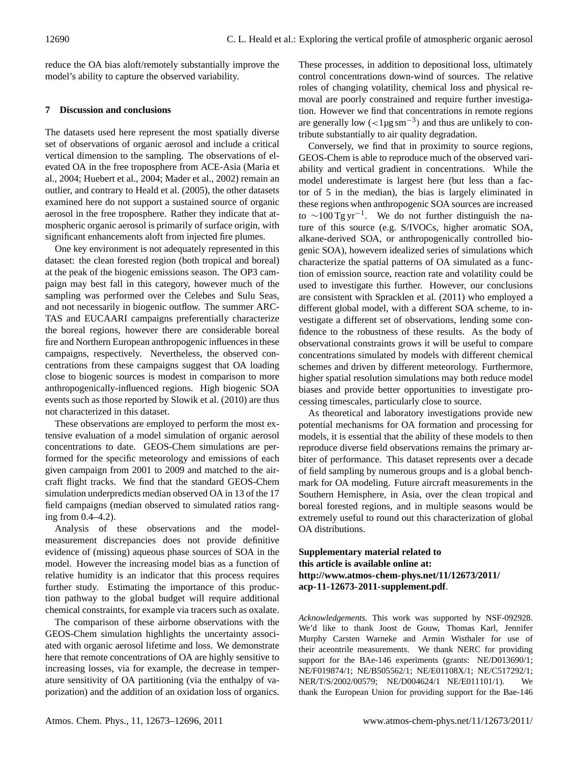reduce the OA bias aloft/remotely substantially improve the model's ability to capture the observed variability.

## **7 Discussion and conclusions**

The datasets used here represent the most spatially diverse set of observations of organic aerosol and include a critical vertical dimension to the sampling. The observations of elevated OA in the free troposphere from ACE-Asia (Maria et al., 2004; Huebert et al., 2004; Mader et al., 2002) remain an outlier, and contrary to Heald et al. (2005), the other datasets examined here do not support a sustained source of organic aerosol in the free troposphere. Rather they indicate that atmospheric organic aerosol is primarily of surface origin, with significant enhancements aloft from injected fire plumes.

One key environment is not adequately represented in this dataset: the clean forested region (both tropical and boreal) at the peak of the biogenic emissions season. The OP3 campaign may best fall in this category, however much of the sampling was performed over the Celebes and Sulu Seas, and not necessarily in biogenic outflow. The summer ARC-TAS and EUCAARI campaigns preferentially characterize the boreal regions, however there are considerable boreal fire and Northern European anthropogenic influences in these campaigns, respectively. Nevertheless, the observed concentrations from these campaigns suggest that OA loading close to biogenic sources is modest in comparison to more anthropogenically-influenced regions. High biogenic SOA events such as those reported by Slowik et al. (2010) are thus not characterized in this dataset.

These observations are employed to perform the most extensive evaluation of a model simulation of organic aerosol concentrations to date. GEOS-Chem simulations are performed for the specific meteorology and emissions of each given campaign from 2001 to 2009 and matched to the aircraft flight tracks. We find that the standard GEOS-Chem simulation underpredicts median observed OA in 13 of the 17 field campaigns (median observed to simulated ratios ranging from 0.4–4.2).

Analysis of these observations and the modelmeasurement discrepancies does not provide definitive evidence of (missing) aqueous phase sources of SOA in the model. However the increasing model bias as a function of relative humidity is an indicator that this process requires further study. Estimating the importance of this production pathway to the global budget will require additional chemical constraints, for example via tracers such as oxalate.

The comparison of these airborne observations with the GEOS-Chem simulation highlights the uncertainty associated with organic aerosol lifetime and loss. We demonstrate here that remote concentrations of OA are highly sensitive to increasing losses, via for example, the decrease in temperature sensitivity of OA partitioning (via the enthalpy of vaporization) and the addition of an oxidation loss of organics. These processes, in addition to depositional loss, ultimately control concentrations down-wind of sources. The relative roles of changing volatility, chemical loss and physical removal are poorly constrained and require further investigation. However we find that concentrations in remote regions are generally low  $(<1 \mu g \text{ s} \text{m}^{-3})$  and thus are unlikely to contribute substantially to air quality degradation.

Conversely, we find that in proximity to source regions, GEOS-Chem is able to reproduce much of the observed variability and vertical gradient in concentrations. While the model underestimate is largest here (but less than a factor of 5 in the median), the bias is largely eliminated in these regions when anthropogenic SOA sources are increased to ~100 Tg yr<sup>-1</sup>. We do not further distinguish the nature of this source (e.g. S/IVOCs, higher aromatic SOA, alkane-derived SOA, or anthropogenically controlled biogenic SOA), howevern idealized series of simulations which characterize the spatial patterns of OA simulated as a function of emission source, reaction rate and volatility could be used to investigate this further. However, our conclusions are consistent with Spracklen et al. (2011) who employed a different global model, with a different SOA scheme, to investigate a different set of observations, lending some confidence to the robustness of these results. As the body of observational constraints grows it will be useful to compare concentrations simulated by models with different chemical schemes and driven by different meteorology. Furthermore, higher spatial resolution simulations may both reduce model biases and provide better opportunities to investigate processing timescales, particularly close to source.

As theoretical and laboratory investigations provide new potential mechanisms for OA formation and processing for models, it is essential that the ability of these models to then reproduce diverse field observations remains the primary arbiter of performance. This dataset represents over a decade of field sampling by numerous groups and is a global benchmark for OA modeling. Future aircraft measurements in the Southern Hemisphere, in Asia, over the clean tropical and boreal forested regions, and in multiple seasons would be extremely useful to round out this characterization of global OA distributions.

## **Supplementary material related to this article is available online at: [http://www.atmos-chem-phys.net/11/12673/2011/](http://www.atmos-chem-phys.net/11/12673/2011/acp-11-12673-2011-supplement.pdf) [acp-11-12673-2011-supplement.pdf](http://www.atmos-chem-phys.net/11/12673/2011/acp-11-12673-2011-supplement.pdf)**.

*Acknowledgements.* This work was supported by NSF-092928. We'd like to thank Joost de Gouw, Thomas Karl, Jennifer Murphy Carsten Warneke and Armin Wisthaler for use of their aceontrile measurements. We thank NERC for providing support for the BAe-146 experiments (grants: NE/D013690/1; NE/F019874/1; NE/B505562/1; NE/E01108X/1; NE/C517292/1; NER/T/S/2002/00579; NE/D004624/1 NE/E011101/1). We thank the European Union for providing support for the Bae-146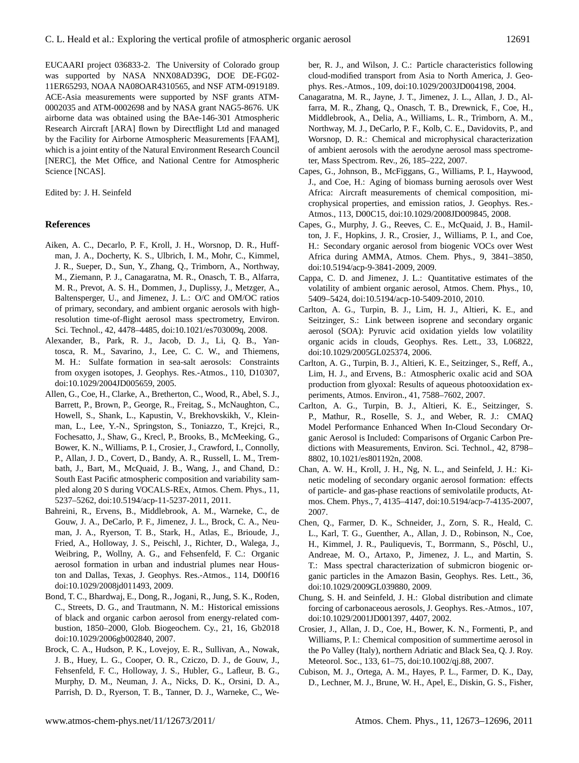EUCAARI project 036833-2. The University of Colorado group was supported by NASA NNX08AD39G, DOE DE-FG02- 11ER65293, NOAA NA08OAR4310565, and NSF ATM-0919189. ACE-Asia measurements were supported by NSF grants ATM-0002035 and ATM-0002698 and by NASA grant NAG5-8676. UK airborne data was obtained using the BAe-146-301 Atmospheric Research Aircraft [ARA] flown by Directflight Ltd and managed by the Facility for Airborne Atmospheric Measurements [FAAM], which is a joint entity of the Natural Environment Research Council [NERC], the Met Office, and National Centre for Atmospheric Science [NCAS].

Edited by: J. H. Seinfeld

## **References**

- Aiken, A. C., Decarlo, P. F., Kroll, J. H., Worsnop, D. R., Huffman, J. A., Docherty, K. S., Ulbrich, I. M., Mohr, C., Kimmel, J. R., Sueper, D., Sun, Y., Zhang, Q., Trimborn, A., Northway, M., Ziemann, P. J., Canagaratna, M. R., Onasch, T. B., Alfarra, M. R., Prevot, A. S. H., Dommen, J., Duplissy, J., Metzger, A., Baltensperger, U., and Jimenez, J. L.: O/C and OM/OC ratios of primary, secondary, and ambient organic aerosols with highresolution time-of-flight aerosol mass spectrometry, Environ. Sci. Technol., 42, 4478–4485, [doi:10.1021/es703009q,](http://dx.doi.org/10.1021/es703009q) 2008.
- Alexander, B., Park, R. J., Jacob, D. J., Li, Q. B., Yantosca, R. M., Savarino, J., Lee, C. C. W., and Thiemens, M. H.: Sulfate formation in sea-salt aerosols: Constraints from oxygen isotopes, J. Geophys. Res.-Atmos., 110, D10307, [doi:10.1029/2004JD005659,](http://dx.doi.org/10.1029/2004JD005659) 2005.
- Allen, G., Coe, H., Clarke, A., Bretherton, C., Wood, R., Abel, S. J., Barrett, P., Brown, P., George, R., Freitag, S., McNaughton, C., Howell, S., Shank, L., Kapustin, V., Brekhovskikh, V., Kleinman, L., Lee, Y.-N., Springston, S., Toniazzo, T., Krejci, R., Fochesatto, J., Shaw, G., Krecl, P., Brooks, B., McMeeking, G., Bower, K. N., Williams, P. I., Crosier, J., Crawford, I., Connolly, P., Allan, J. D., Covert, D., Bandy, A. R., Russell, L. M., Trembath, J., Bart, M., McQuaid, J. B., Wang, J., and Chand, D.: South East Pacific atmospheric composition and variability sampled along 20 S during VOCALS-REx, Atmos. Chem. Phys., 11, 5237–5262, [doi:10.5194/acp-11-5237-2011,](http://dx.doi.org/10.5194/acp-11-5237-2011) 2011.
- Bahreini, R., Ervens, B., Middlebrook, A. M., Warneke, C., de Gouw, J. A., DeCarlo, P. F., Jimenez, J. L., Brock, C. A., Neuman, J. A., Ryerson, T. B., Stark, H., Atlas, E., Brioude, J., Fried, A., Holloway, J. S., Peischl, J., Richter, D., Walega, J., Weibring, P., Wollny, A. G., and Fehsenfeld, F. C.: Organic aerosol formation in urban and industrial plumes near Houston and Dallas, Texas, J. Geophys. Res.-Atmos., 114, D00f16 [doi:10.1029/2008jd011493,](http://dx.doi.org/10.1029/2008jd011493) 2009.
- Bond, T. C., Bhardwaj, E., Dong, R., Jogani, R., Jung, S. K., Roden, C., Streets, D. G., and Trautmann, N. M.: Historical emissions of black and organic carbon aerosol from energy-related combustion, 1850–2000, Glob. Biogeochem. Cy., 21, 16, Gb2018 [doi:10.1029/2006gb002840,](http://dx.doi.org/10.1029/2006gb002840) 2007.
- Brock, C. A., Hudson, P. K., Lovejoy, E. R., Sullivan, A., Nowak, J. B., Huey, L. G., Cooper, O. R., Cziczo, D. J., de Gouw, J., Fehsenfeld, F. C., Holloway, J. S., Hubler, G., Lafleur, B. G., Murphy, D. M., Neuman, J. A., Nicks, D. K., Orsini, D. A., Parrish, D. D., Ryerson, T. B., Tanner, D. J., Warneke, C., We-

ber, R. J., and Wilson, J. C.: Particle characteristics following cloud-modified transport from Asia to North America, J. Geophys. Res.-Atmos., 109, [doi:10.1029/2003JD004198,](http://dx.doi.org/10.1029/2003JD004198) 2004.

- Canagaratna, M. R., Jayne, J. T., Jimenez, J. L., Allan, J. D., Alfarra, M. R., Zhang, Q., Onasch, T. B., Drewnick, F., Coe, H., Middlebrook, A., Delia, A., Williams, L. R., Trimborn, A. M., Northway, M. J., DeCarlo, P. F., Kolb, C. E., Davidovits, P., and Worsnop, D. R.: Chemical and microphysical characterization of ambient aerosols with the aerodyne aerosol mass spectrometer, Mass Spectrom. Rev., 26, 185–222, 2007.
- Capes, G., Johnson, B., McFiggans, G., Williams, P. I., Haywood, J., and Coe, H.: Aging of biomass burning aerosols over West Africa: Aircraft measurements of chemical composition, microphysical properties, and emission ratios, J. Geophys. Res.- Atmos., 113, D00C15, [doi:10.1029/2008JD009845,](http://dx.doi.org/10.1029/2008JD009845) 2008.
- Capes, G., Murphy, J. G., Reeves, C. E., McQuaid, J. B., Hamilton, J. F., Hopkins, J. R., Crosier, J., Williams, P. I., and Coe, H.: Secondary organic aerosol from biogenic VOCs over West Africa during AMMA, Atmos. Chem. Phys., 9, 3841–3850, [doi:10.5194/acp-9-3841-2009,](http://dx.doi.org/10.5194/acp-9-3841-2009) 2009.
- Cappa, C. D. and Jimenez, J. L.: Quantitative estimates of the volatility of ambient organic aerosol, Atmos. Chem. Phys., 10, 5409–5424, [doi:10.5194/acp-10-5409-2010,](http://dx.doi.org/10.5194/acp-10-5409-2010) 2010.
- Carlton, A. G., Turpin, B. J., Lim, H. J., Altieri, K. E., and Seitzinger, S.: Link between isoprene and secondary organic aerosol (SOA): Pyruvic acid oxidation yields low volatility organic acids in clouds, Geophys. Res. Lett., 33, L06822, [doi:10.1029/2005GL025374,](http://dx.doi.org/10.1029/2005GL025374) 2006.
- Carlton, A. G., Turpin, B. J., Altieri, K. E., Seitzinger, S., Reff, A., Lim, H. J., and Ervens, B.: Atmospheric oxalic acid and SOA production from glyoxal: Results of aqueous photooxidation experiments, Atmos. Environ., 41, 7588–7602, 2007.
- Carlton, A. G., Turpin, B. J., Altieri, K. E., Seitzinger, S. P., Mathur, R., Roselle, S. J., and Weber, R. J.: CMAQ Model Performance Enhanced When In-Cloud Secondary Organic Aerosol is Included: Comparisons of Organic Carbon Predictions with Measurements, Environ. Sci. Technol., 42, 8798– 8802, 10.1021/es801192n, 2008.
- Chan, A. W. H., Kroll, J. H., Ng, N. L., and Seinfeld, J. H.: Kinetic modeling of secondary organic aerosol formation: effects of particle- and gas-phase reactions of semivolatile products, Atmos. Chem. Phys., 7, 4135–4147, [doi:10.5194/acp-7-4135-2007,](http://dx.doi.org/10.5194/acp-7-4135-2007) 2007.
- Chen, Q., Farmer, D. K., Schneider, J., Zorn, S. R., Heald, C. L., Karl, T. G., Guenther, A., Allan, J. D., Robinson, N., Coe, H., Kimmel, J. R., Pauliquevis, T., Borrmann, S., Pöschl, U., Andreae, M. O., Artaxo, P., Jimenez, J. L., and Martin, S. T.: Mass spectral characterization of submicron biogenic organic particles in the Amazon Basin, Geophys. Res. Lett., 36, [doi:10.1029/2009GL039880,](http://dx.doi.org/10.1029/2009GL039880) 2009.
- Chung, S. H. and Seinfeld, J. H.: Global distribution and climate forcing of carbonaceous aerosols, J. Geophys. Res.-Atmos., 107, [doi:10.1029/2001JD001397,](http://dx.doi.org/10.1029/2001JD001397) 4407, 2002.
- Crosier, J., Allan, J. D., Coe, H., Bower, K. N., Formenti, P., and Williams, P. I.: Chemical composition of summertime aerosol in the Po Valley (Italy), northern Adriatic and Black Sea, Q. J. Roy. Meteorol. Soc., 133, 61–75, [doi:10.1002/qj.88,](http://dx.doi.org/10.1002/qj.88) 2007.
- Cubison, M. J., Ortega, A. M., Hayes, P. L., Farmer, D. K., Day, D., Lechner, M. J., Brune, W. H., Apel, E., Diskin, G. S., Fisher,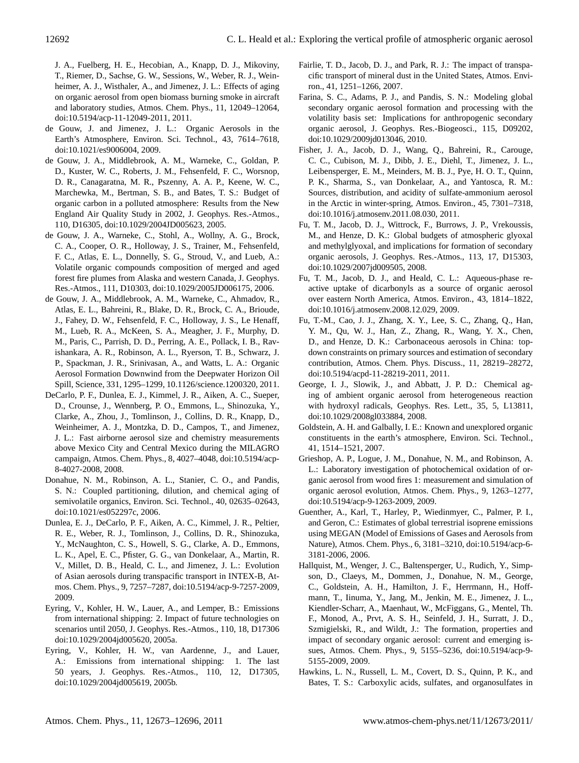J. A., Fuelberg, H. E., Hecobian, A., Knapp, D. J., Mikoviny, T., Riemer, D., Sachse, G. W., Sessions, W., Weber, R. J., Weinheimer, A. J., Wisthaler, A., and Jimenez, J. L.: Effects of aging on organic aerosol from open biomass burning smoke in aircraft and laboratory studies, Atmos. Chem. Phys., 11, 12049–12064, [doi:10.5194/acp-11-12049-2011,](http://dx.doi.org/10.5194/acp-11-12049-2011) 2011.

- de Gouw, J. and Jimenez, J. L.: Organic Aerosols in the Earth's Atmosphere, Environ. Sci. Technol., 43, 7614–7618, [doi:10.1021/es9006004,](http://dx.doi.org/10.1021/es9006004) 2009.
- de Gouw, J. A., Middlebrook, A. M., Warneke, C., Goldan, P. D., Kuster, W. C., Roberts, J. M., Fehsenfeld, F. C., Worsnop, D. R., Canagaratna, M. R., Pszenny, A. A. P., Keene, W. C., Marchewka, M., Bertman, S. B., and Bates, T. S.: Budget of organic carbon in a polluted atmosphere: Results from the New England Air Quality Study in 2002, J. Geophys. Res.-Atmos., 110, D16305, [doi:10.1029/2004JD005623,](http://dx.doi.org/10.1029/2004JD005623) 2005.
- de Gouw, J. A., Warneke, C., Stohl, A., Wollny, A. G., Brock, C. A., Cooper, O. R., Holloway, J. S., Trainer, M., Fehsenfeld, F. C., Atlas, E. L., Donnelly, S. G., Stroud, V., and Lueb, A.: Volatile organic compounds composition of merged and aged forest fire plumes from Alaska and western Canada, J. Geophys. Res.-Atmos., 111, D10303, [doi:10.1029/2005JD006175,](http://dx.doi.org/10.1029/2005JD006175) 2006.
- de Gouw, J. A., Middlebrook, A. M., Warneke, C., Ahmadov, R., Atlas, E. L., Bahreini, R., Blake, D. R., Brock, C. A., Brioude, J., Fahey, D. W., Fehsenfeld, F. C., Holloway, J. S., Le Henaff, M., Lueb, R. A., McKeen, S. A., Meagher, J. F., Murphy, D. M., Paris, C., Parrish, D. D., Perring, A. E., Pollack, I. B., Ravishankara, A. R., Robinson, A. L., Ryerson, T. B., Schwarz, J. P., Spackman, J. R., Srinivasan, A., and Watts, L. A.: Organic Aerosol Formation Downwind from the Deepwater Horizon Oil Spill, Science, 331, 1295–1299, 10.1126/science.1200320, 2011.
- DeCarlo, P. F., Dunlea, E. J., Kimmel, J. R., Aiken, A. C., Sueper, D., Crounse, J., Wennberg, P. O., Emmons, L., Shinozuka, Y., Clarke, A., Zhou, J., Tomlinson, J., Collins, D. R., Knapp, D., Weinheimer, A. J., Montzka, D. D., Campos, T., and Jimenez, J. L.: Fast airborne aerosol size and chemistry measurements above Mexico City and Central Mexico during the MILAGRO campaign, Atmos. Chem. Phys., 8, 4027–4048, [doi:10.5194/acp-](http://dx.doi.org/10.5194/acp-8-4027-2008)[8-4027-2008,](http://dx.doi.org/10.5194/acp-8-4027-2008) 2008.
- Donahue, N. M., Robinson, A. L., Stanier, C. O., and Pandis, S. N.: Coupled partitioning, dilution, and chemical aging of semivolatile organics, Environ. Sci. Technol., 40, 02635–02643, [doi:10.1021/es052297c,](http://dx.doi.org/10.1021/es052297c) 2006.
- Dunlea, E. J., DeCarlo, P. F., Aiken, A. C., Kimmel, J. R., Peltier, R. E., Weber, R. J., Tomlinson, J., Collins, D. R., Shinozuka, Y., McNaughton, C. S., Howell, S. G., Clarke, A. D., Emmons, L. K., Apel, E. C., Pfister, G. G., van Donkelaar, A., Martin, R. V., Millet, D. B., Heald, C. L., and Jimenez, J. L.: Evolution of Asian aerosols during transpacific transport in INTEX-B, Atmos. Chem. Phys., 9, 7257–7287, [doi:10.5194/acp-9-7257-2009,](http://dx.doi.org/10.5194/acp-9-7257-2009) 2009.
- Eyring, V., Kohler, H. W., Lauer, A., and Lemper, B.: Emissions from international shipping: 2. Impact of future technologies on scenarios until 2050, J. Geophys. Res.-Atmos., 110, 18, D17306 [doi:10.1029/2004jd005620,](http://dx.doi.org/10.1029/2004jd005620) 2005a.
- Eyring, V., Kohler, H. W., van Aardenne, J., and Lauer, A.: Emissions from international shipping: 1. The last 50 years, J. Geophys. Res.-Atmos., 110, 12, D17305, [doi:10.1029/2004jd005619,](http://dx.doi.org/10.1029/2004jd005619) 2005b.
- Fairlie, T. D., Jacob, D. J., and Park, R. J.: The impact of transpacific transport of mineral dust in the United States, Atmos. Environ., 41, 1251–1266, 2007.
- Farina, S. C., Adams, P. J., and Pandis, S. N.: Modeling global secondary organic aerosol formation and processing with the volatility basis set: Implications for anthropogenic secondary organic aerosol, J. Geophys. Res.-Biogeosci., 115, D09202, [doi:10.1029/2009jd013046,](http://dx.doi.org/10.1029/2009jd013046) 2010.
- Fisher, J. A., Jacob, D. J., Wang, Q., Bahreini, R., Carouge, C. C., Cubison, M. J., Dibb, J. E., Diehl, T., Jimenez, J. L., Leibensperger, E. M., Meinders, M. B. J., Pye, H. O. T., Quinn, P. K., Sharma, S., van Donkelaar, A., and Yantosca, R. M.: Sources, distribution, and acidity of sulfate-ammonium aerosol in the Arctic in winter-spring, Atmos. Environ., 45, 7301–7318, [doi:10.1016/j.atmosenv.2011.08.030,](http://dx.doi.org/10.1016/j.atmosenv.2011.08.030) 2011.
- Fu, T. M., Jacob, D. J., Wittrock, F., Burrows, J. P., Vrekoussis, M., and Henze, D. K.: Global budgets of atmospheric glyoxal and methylglyoxal, and implications for formation of secondary organic aerosols, J. Geophys. Res.-Atmos., 113, 17, D15303, [doi:10.1029/2007jd009505,](http://dx.doi.org/10.1029/2007jd009505) 2008.
- Fu, T. M., Jacob, D. J., and Heald, C. L.: Aqueous-phase reactive uptake of dicarbonyls as a source of organic aerosol over eastern North America, Atmos. Environ., 43, 1814–1822, [doi:10.1016/j.atmosenv.2008.12.029,](http://dx.doi.org/10.1016/j.atmosenv.2008.12.029) 2009.
- Fu, T.-M., Cao, J. J., Zhang, X. Y., Lee, S. C., Zhang, Q., Han, Y. M., Qu, W. J., Han, Z., Zhang, R., Wang, Y. X., Chen, D., and Henze, D. K.: Carbonaceous aerosols in China: topdown constraints on primary sources and estimation of secondary contribution, Atmos. Chem. Phys. Discuss., 11, 28219–28272, [doi:10.5194/acpd-11-28219-2011,](http://dx.doi.org/10.5194/acpd-11-28219-2011) 2011.
- George, I. J., Slowik, J., and Abbatt, J. P. D.: Chemical aging of ambient organic aerosol from heterogeneous reaction with hydroxyl radicals, Geophys. Res. Lett., 35, 5, L13811, [doi:10.1029/2008gl033884,](http://dx.doi.org/10.1029/2008gl033884) 2008.
- Goldstein, A. H. and Galbally, I. E.: Known and unexplored organic constituents in the earth's atmosphere, Environ. Sci. Technol., 41, 1514–1521, 2007.
- Grieshop, A. P., Logue, J. M., Donahue, N. M., and Robinson, A. L.: Laboratory investigation of photochemical oxidation of organic aerosol from wood fires 1: measurement and simulation of organic aerosol evolution, Atmos. Chem. Phys., 9, 1263–1277, [doi:10.5194/acp-9-1263-2009,](http://dx.doi.org/10.5194/acp-9-1263-2009) 2009.
- Guenther, A., Karl, T., Harley, P., Wiedinmyer, C., Palmer, P. I., and Geron, C.: Estimates of global terrestrial isoprene emissions using MEGAN (Model of Emissions of Gases and Aerosols from Nature), Atmos. Chem. Phys., 6, 3181–3210, [doi:10.5194/acp-6-](http://dx.doi.org/10.5194/acp-6-3181-2006) [3181-2006,](http://dx.doi.org/10.5194/acp-6-3181-2006) 2006.
- Hallquist, M., Wenger, J. C., Baltensperger, U., Rudich, Y., Simpson, D., Claeys, M., Dommen, J., Donahue, N. M., George, C., Goldstein, A. H., Hamilton, J. F., Herrmann, H., Hoffmann, T., Iinuma, Y., Jang, M., Jenkin, M. E., Jimenez, J. L., Kiendler-Scharr, A., Maenhaut, W., McFiggans, G., Mentel, Th. F., Monod, A., Prvt, A. S. H., Seinfeld, J. H., Surratt, J. D., Szmigielski, R., and Wildt, J.: The formation, properties and impact of secondary organic aerosol: current and emerging issues, Atmos. Chem. Phys., 9, 5155–5236, [doi:10.5194/acp-9-](http://dx.doi.org/10.5194/acp-9-5155-2009) [5155-2009,](http://dx.doi.org/10.5194/acp-9-5155-2009) 2009.
- Hawkins, L. N., Russell, L. M., Covert, D. S., Quinn, P. K., and Bates, T. S.: Carboxylic acids, sulfates, and organosulfates in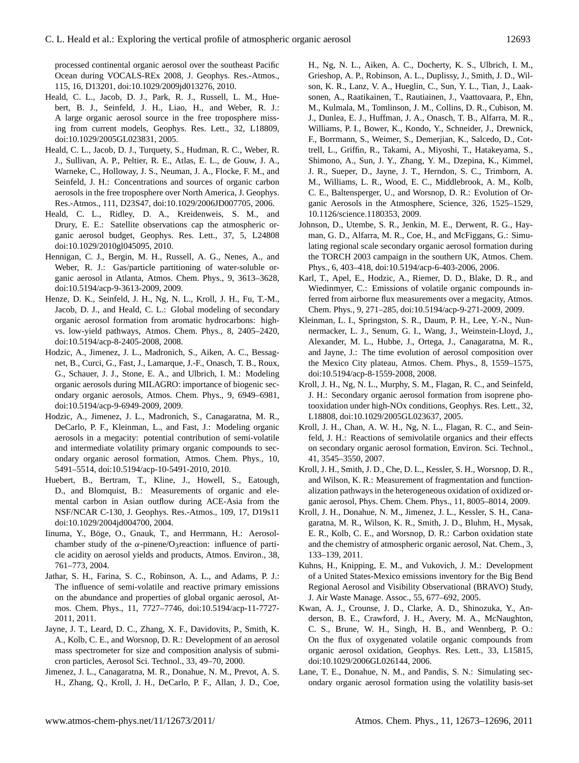processed continental organic aerosol over the southeast Pacific Ocean during VOCALS-REx 2008, J. Geophys. Res.-Atmos., 115, 16, D13201, [doi:10.1029/2009jd013276,](http://dx.doi.org/10.1029/2009jd013276) 2010.

- Heald, C. L., Jacob, D. J., Park, R. J., Russell, L. M., Huebert, B. J., Seinfeld, J. H., Liao, H., and Weber, R. J.: A large organic aerosol source in the free troposphere missing from current models, Geophys. Res. Lett., 32, L18809, [doi:10.1029/2005GL023831,](http://dx.doi.org/10.1029/2005GL023831) 2005.
- Heald, C. L., Jacob, D. J., Turquety, S., Hudman, R. C., Weber, R. J., Sullivan, A. P., Peltier, R. E., Atlas, E. L., de Gouw, J. A., Warneke, C., Holloway, J. S., Neuman, J. A., Flocke, F. M., and Seinfeld, J. H.: Concentrations and sources of organic carbon aerosols in the free troposphere over North America, J. Geophys. Res.-Atmos., 111, D23S47, [doi:10.1029/2006JD007705,](http://dx.doi.org/10.1029/2006JD007705) 2006.
- Heald, C. L., Ridley, D. A., Kreidenweis, S. M., and Drury, E. E.: Satellite observations cap the atmospheric organic aerosol budget, Geophys. Res. Lett., 37, 5, L24808 [doi:10.1029/2010gl045095,](http://dx.doi.org/10.1029/2010gl045095) 2010.
- Hennigan, C. J., Bergin, M. H., Russell, A. G., Nenes, A., and Weber, R. J.: Gas/particle partitioning of water-soluble organic aerosol in Atlanta, Atmos. Chem. Phys., 9, 3613–3628, [doi:10.5194/acp-9-3613-2009,](http://dx.doi.org/10.5194/acp-9-3613-2009) 2009.
- Henze, D. K., Seinfeld, J. H., Ng, N. L., Kroll, J. H., Fu, T.-M., Jacob, D. J., and Heald, C. L.: Global modeling of secondary organic aerosol formation from aromatic hydrocarbons: highvs. low-yield pathways, Atmos. Chem. Phys., 8, 2405–2420, [doi:10.5194/acp-8-2405-2008,](http://dx.doi.org/10.5194/acp-8-2405-2008) 2008.
- Hodzic, A., Jimenez, J. L., Madronich, S., Aiken, A. C., Bessagnet, B., Curci, G., Fast, J., Lamarque, J.-F., Onasch, T. B., Roux, G., Schauer, J. J., Stone, E. A., and Ulbrich, I. M.: Modeling organic aerosols during MILAGRO: importance of biogenic secondary organic aerosols, Atmos. Chem. Phys., 9, 6949–6981, [doi:10.5194/acp-9-6949-2009,](http://dx.doi.org/10.5194/acp-9-6949-2009) 2009.
- Hodzic, A., Jimenez, J. L., Madronich, S., Canagaratna, M. R., DeCarlo, P. F., Kleinman, L., and Fast, J.: Modeling organic aerosols in a megacity: potential contribution of semi-volatile and intermediate volatility primary organic compounds to secondary organic aerosol formation, Atmos. Chem. Phys., 10, 5491–5514, [doi:10.5194/acp-10-5491-2010,](http://dx.doi.org/10.5194/acp-10-5491-2010) 2010.
- Huebert, B., Bertram, T., Kline, J., Howell, S., Eatough, D., and Blomquist, B.: Measurements of organic and elemental carbon in Asian outflow during ACE-Asia from the NSF/NCAR C-130, J. Geophys. Res.-Atmos., 109, 17, D19s11 [doi:10.1029/2004jd004700,](http://dx.doi.org/10.1029/2004jd004700) 2004.
- Iinuma, Y., Böge, O., Gnauk, T., and Herrmann, H.: Aerosolchamber study of the  $\alpha$ -pinene/O<sub>3</sub>reaction: influence of particle acidity on aerosol yields and products, Atmos. Environ., 38, 761–773, 2004.
- Jathar, S. H., Farina, S. C., Robinson, A. L., and Adams, P. J.: The influence of semi-volatile and reactive primary emissions on the abundance and properties of global organic aerosol, Atmos. Chem. Phys., 11, 7727–7746, [doi:10.5194/acp-11-7727-](http://dx.doi.org/10.5194/acp-11-7727-2011) [2011,](http://dx.doi.org/10.5194/acp-11-7727-2011) 2011.
- Jayne, J. T., Leard, D. C., Zhang, X. F., Davidovits, P., Smith, K. A., Kolb, C. E., and Worsnop, D. R.: Development of an aerosol mass spectrometer for size and composition analysis of submicron particles, Aerosol Sci. Technol., 33, 49–70, 2000.
- Jimenez, J. L., Canagaratna, M. R., Donahue, N. M., Prevot, A. S. H., Zhang, Q., Kroll, J. H., DeCarlo, P. F., Allan, J. D., Coe,

H., Ng, N. L., Aiken, A. C., Docherty, K. S., Ulbrich, I. M., Grieshop, A. P., Robinson, A. L., Duplissy, J., Smith, J. D., Wilson, K. R., Lanz, V. A., Hueglin, C., Sun, Y. L., Tian, J., Laaksonen, A., Raatikainen, T., Rautiainen, J., Vaattovaara, P., Ehn, M., Kulmala, M., Tomlinson, J. M., Collins, D. R., Cubison, M. J., Dunlea, E. J., Huffman, J. A., Onasch, T. B., Alfarra, M. R., Williams, P. I., Bower, K., Kondo, Y., Schneider, J., Drewnick, F., Borrmann, S., Weimer, S., Demerjian, K., Salcedo, D., Cottrell, L., Griffin, R., Takami, A., Miyoshi, T., Hatakeyama, S., Shimono, A., Sun, J. Y., Zhang, Y. M., Dzepina, K., Kimmel, J. R., Sueper, D., Jayne, J. T., Herndon, S. C., Trimborn, A. M., Williams, L. R., Wood, E. C., Middlebrook, A. M., Kolb, C. E., Baltensperger, U., and Worsnop, D. R.: Evolution of Organic Aerosols in the Atmosphere, Science, 326, 1525–1529, 10.1126/science.1180353, 2009.

- Johnson, D., Utembe, S. R., Jenkin, M. E., Derwent, R. G., Hayman, G. D., Alfarra, M. R., Coe, H., and McFiggans, G.: Simulating regional scale secondary organic aerosol formation during the TORCH 2003 campaign in the southern UK, Atmos. Chem. Phys., 6, 403–418, [doi:10.5194/acp-6-403-2006,](http://dx.doi.org/10.5194/acp-6-403-2006) 2006.
- Karl, T., Apel, E., Hodzic, A., Riemer, D. D., Blake, D. R., and Wiedinmyer, C.: Emissions of volatile organic compounds inferred from airborne flux measurements over a megacity, Atmos. Chem. Phys., 9, 271–285, [doi:10.5194/acp-9-271-2009,](http://dx.doi.org/10.5194/acp-9-271-2009) 2009.
- Kleinman, L. I., Springston, S. R., Daum, P. H., Lee, Y.-N., Nunnermacker, L. J., Senum, G. I., Wang, J., Weinstein-Lloyd, J., Alexander, M. L., Hubbe, J., Ortega, J., Canagaratna, M. R., and Jayne, J.: The time evolution of aerosol composition over the Mexico City plateau, Atmos. Chem. Phys., 8, 1559–1575, [doi:10.5194/acp-8-1559-2008,](http://dx.doi.org/10.5194/acp-8-1559-2008) 2008.
- Kroll, J. H., Ng, N. L., Murphy, S. M., Flagan, R. C., and Seinfeld, J. H.: Secondary organic aerosol formation from isoprene photooxidation under high-NOx conditions, Geophys. Res. Lett., 32, L18808, [doi:10.1029/2005GL023637,](http://dx.doi.org/10.1029/2005GL023637) 2005.
- Kroll, J. H., Chan, A. W. H., Ng, N. L., Flagan, R. C., and Seinfeld, J. H.: Reactions of semivolatile organics and their effects on secondary organic aerosol formation, Environ. Sci. Technol., 41, 3545–3550, 2007.
- Kroll, J. H., Smith, J. D., Che, D. L., Kessler, S. H., Worsnop, D. R., and Wilson, K. R.: Measurement of fragmentation and functionalization pathways in the heterogeneous oxidation of oxidized organic aerosol, Phys. Chem. Chem. Phys., 11, 8005–8014, 2009.
- Kroll, J. H., Donahue, N. M., Jimenez, J. L., Kessler, S. H., Canagaratna, M. R., Wilson, K. R., Smith, J. D., Bluhm, H., Mysak, E. R., Kolb, C. E., and Worsnop, D. R.: Carbon oxidation state and the chemistry of atmospheric organic aerosol, Nat. Chem., 3, 133–139, 2011.
- Kuhns, H., Knipping, E. M., and Vukovich, J. M.: Development of a United States-Mexico emissions inventory for the Big Bend Regional Aerosol and Visibility Observational (BRAVO) Study, J. Air Waste Manage. Assoc., 55, 677–692, 2005.
- Kwan, A. J., Crounse, J. D., Clarke, A. D., Shinozuka, Y., Anderson, B. E., Crawford, J. H., Avery, M. A., McNaughton, C. S., Brune, W. H., Singh, H. B., and Wennberg, P. O.: On the flux of oxygenated volatile organic compounds from organic aerosol oxidation, Geophys. Res. Lett., 33, L15815, [doi:10.1029/2006GL026144,](http://dx.doi.org/10.1029/2006GL026144) 2006.
- Lane, T. E., Donahue, N. M., and Pandis, S. N.: Simulating secondary organic aerosol formation using the volatility basis-set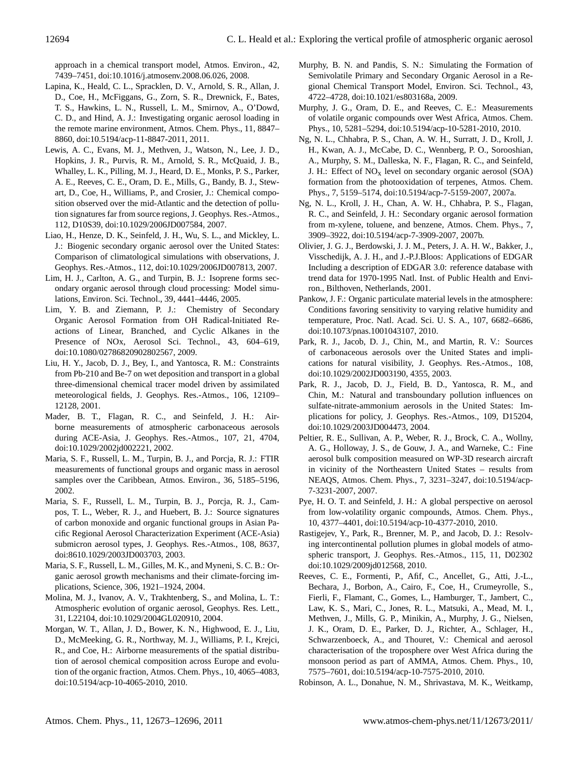approach in a chemical transport model, Atmos. Environ., 42, 7439–7451, [doi:10.1016/j.atmosenv.2008.06.026,](http://dx.doi.org/10.1016/j.atmosenv.2008.06.026) 2008.

- Lapina, K., Heald, C. L., Spracklen, D. V., Arnold, S. R., Allan, J. D., Coe, H., McFiggans, G., Zorn, S. R., Drewnick, F., Bates, T. S., Hawkins, L. N., Russell, L. M., Smirnov, A., O'Dowd, C. D., and Hind, A. J.: Investigating organic aerosol loading in the remote marine environment, Atmos. Chem. Phys., 11, 8847– 8860, [doi:10.5194/acp-11-8847-2011,](http://dx.doi.org/10.5194/acp-11-8847-2011) 2011.
- Lewis, A. C., Evans, M. J., Methven, J., Watson, N., Lee, J. D., Hopkins, J. R., Purvis, R. M., Arnold, S. R., McQuaid, J. B., Whalley, L. K., Pilling, M. J., Heard, D. E., Monks, P. S., Parker, A. E., Reeves, C. E., Oram, D. E., Mills, G., Bandy, B. J., Stewart, D., Coe, H., Williams, P., and Crosier, J.: Chemical composition observed over the mid-Atlantic and the detection of pollution signatures far from source regions, J. Geophys. Res.-Atmos., 112, D10S39, [doi:10.1029/2006JD007584,](http://dx.doi.org/10.1029/2006JD007584) 2007.
- Liao, H., Henze, D. K., Seinfeld, J. H., Wu, S. L., and Mickley, L. J.: Biogenic secondary organic aerosol over the United States: Comparison of climatological simulations with observations, J. Geophys. Res.-Atmos., 112, [doi:10.1029/2006JD007813,](http://dx.doi.org/10.1029/2006JD007813) 2007.
- Lim, H. J., Carlton, A. G., and Turpin, B. J.: Isoprene forms secondary organic aerosol through cloud processing: Model simulations, Environ. Sci. Technol., 39, 4441–4446, 2005.
- Lim, Y. B. and Ziemann, P. J.: Chemistry of Secondary Organic Aerosol Formation from OH Radical-Initiated Reactions of Linear, Branched, and Cyclic Alkanes in the Presence of NO<sub>x</sub>, Aerosol Sci. Technol., 43, 604–619, [doi:10.1080/02786820902802567,](http://dx.doi.org/10.1080/02786820902802567) 2009.
- Liu, H. Y., Jacob, D. J., Bey, I., and Yantosca, R. M.: Constraints from Pb-210 and Be-7 on wet deposition and transport in a global three-dimensional chemical tracer model driven by assimilated meteorological fields, J. Geophys. Res.-Atmos., 106, 12109– 12128, 2001.
- Mader, B. T., Flagan, R. C., and Seinfeld, J. H.: Airborne measurements of atmospheric carbonaceous aerosols during ACE-Asia, J. Geophys. Res.-Atmos., 107, 21, 4704, [doi:10.1029/2002jd002221,](http://dx.doi.org/10.1029/2002jd002221) 2002.
- Maria, S. F., Russell, L. M., Turpin, B. J., and Porcja, R. J.: FTIR measurements of functional groups and organic mass in aerosol samples over the Caribbean, Atmos. Environ., 36, 5185–5196, 2002.
- Maria, S. F., Russell, L. M., Turpin, B. J., Porcja, R. J., Campos, T. L., Weber, R. J., and Huebert, B. J.: Source signatures of carbon monoxide and organic functional groups in Asian Pacific Regional Aerosol Characterization Experiment (ACE-Asia) submicron aerosol types, J. Geophys. Res.-Atmos., 108, 8637, doi:8610.1029/2003JD003703, 2003.
- Maria, S. F., Russell, L. M., Gilles, M. K., and Myneni, S. C. B.: Organic aerosol growth mechanisms and their climate-forcing implications, Science, 306, 1921–1924, 2004.
- Molina, M. J., Ivanov, A. V., Trakhtenberg, S., and Molina, L. T.: Atmospheric evolution of organic aerosol, Geophys. Res. Lett., 31, L22104, [doi:10.1029/2004GL020910,](http://dx.doi.org/10.1029/2004GL020910) 2004.
- Morgan, W. T., Allan, J. D., Bower, K. N., Highwood, E. J., Liu, D., McMeeking, G. R., Northway, M. J., Williams, P. I., Krejci, R., and Coe, H.: Airborne measurements of the spatial distribution of aerosol chemical composition across Europe and evolution of the organic fraction, Atmos. Chem. Phys., 10, 4065–4083, [doi:10.5194/acp-10-4065-2010,](http://dx.doi.org/10.5194/acp-10-4065-2010) 2010.
- Murphy, B. N. and Pandis, S. N.: Simulating the Formation of Semivolatile Primary and Secondary Organic Aerosol in a Regional Chemical Transport Model, Environ. Sci. Technol., 43, 4722–4728, [doi:10.1021/es803168a,](http://dx.doi.org/10.1021/es803168a) 2009.
- Murphy, J. G., Oram, D. E., and Reeves, C. E.: Measurements of volatile organic compounds over West Africa, Atmos. Chem. Phys., 10, 5281–5294, [doi:10.5194/acp-10-5281-2010,](http://dx.doi.org/10.5194/acp-10-5281-2010) 2010.
- Ng, N. L., Chhabra, P. S., Chan, A. W. H., Surratt, J. D., Kroll, J. H., Kwan, A. J., McCabe, D. C., Wennberg, P. O., Sorooshian, A., Murphy, S. M., Dalleska, N. F., Flagan, R. C., and Seinfeld, J. H.: Effect of  $NO<sub>x</sub>$  level on secondary organic aerosol (SOA) formation from the photooxidation of terpenes, Atmos. Chem. Phys., 7, 5159–5174, [doi:10.5194/acp-7-5159-2007,](http://dx.doi.org/10.5194/acp-7-5159-2007) 2007a.
- Ng, N. L., Kroll, J. H., Chan, A. W. H., Chhabra, P. S., Flagan, R. C., and Seinfeld, J. H.: Secondary organic aerosol formation from m-xylene, toluene, and benzene, Atmos. Chem. Phys., 7, 3909–3922, [doi:10.5194/acp-7-3909-2007,](http://dx.doi.org/10.5194/acp-7-3909-2007) 2007b.
- Olivier, J. G. J., Berdowski, J. J. M., Peters, J. A. H. W., Bakker, J., Visschedijk, A. J. H., and J.-P.J.Bloos: Applications of EDGAR Including a description of EDGAR 3.0: reference database with trend data for 1970-1995 Natl. Inst. of Public Health and Environ., Bilthoven, Netherlands, 2001.
- Pankow, J. F.: Organic particulate material levels in the atmosphere: Conditions favoring sensitivity to varying relative humidity and temperature, Proc. Natl. Acad. Sci. U. S. A., 107, 6682–6686, [doi:10.1073/pnas.1001043107,](http://dx.doi.org/10.1073/pnas.1001043107) 2010.
- Park, R. J., Jacob, D. J., Chin, M., and Martin, R. V.: Sources of carbonaceous aerosols over the United States and implications for natural visibility, J. Geophys. Res.-Atmos., 108, [doi:10.1029/2002JD003190,](http://dx.doi.org/10.1029/2002JD003190) 4355, 2003.
- Park, R. J., Jacob, D. J., Field, B. D., Yantosca, R. M., and Chin, M.: Natural and transboundary pollution influences on sulfate-nitrate-ammonium aerosols in the United States: Implications for policy, J. Geophys. Res.-Atmos., 109, D15204, [doi:10.1029/2003JD004473,](http://dx.doi.org/10.1029/2003JD004473) 2004.
- Peltier, R. E., Sullivan, A. P., Weber, R. J., Brock, C. A., Wollny, A. G., Holloway, J. S., de Gouw, J. A., and Warneke, C.: Fine aerosol bulk composition measured on WP-3D research aircraft in vicinity of the Northeastern United States – results from NEAQS, Atmos. Chem. Phys., 7, 3231–3247, [doi:10.5194/acp-](http://dx.doi.org/10.5194/acp-7-3231-2007)[7-3231-2007,](http://dx.doi.org/10.5194/acp-7-3231-2007) 2007.
- Pye, H. O. T. and Seinfeld, J. H.: A global perspective on aerosol from low-volatility organic compounds, Atmos. Chem. Phys., 10, 4377–4401, [doi:10.5194/acp-10-4377-2010,](http://dx.doi.org/10.5194/acp-10-4377-2010) 2010.
- Rastigejev, Y., Park, R., Brenner, M. P., and Jacob, D. J.: Resolving intercontinental pollution plumes in global models of atmospheric transport, J. Geophys. Res.-Atmos., 115, 11, D02302 [doi:10.1029/2009jd012568,](http://dx.doi.org/10.1029/2009jd012568) 2010.
- Reeves, C. E., Formenti, P., Afif, C., Ancellet, G., Atti, J.-L., Bechara, J., Borbon, A., Cairo, F., Coe, H., Crumeyrolle, S., Fierli, F., Flamant, C., Gomes, L., Hamburger, T., Jambert, C., Law, K. S., Mari, C., Jones, R. L., Matsuki, A., Mead, M. I., Methven, J., Mills, G. P., Minikin, A., Murphy, J. G., Nielsen, J. K., Oram, D. E., Parker, D. J., Richter, A., Schlager, H., Schwarzenboeck, A., and Thouret, V.: Chemical and aerosol characterisation of the troposphere over West Africa during the monsoon period as part of AMMA, Atmos. Chem. Phys., 10, 7575–7601, [doi:10.5194/acp-10-7575-2010,](http://dx.doi.org/10.5194/acp-10-7575-2010) 2010.
- Robinson, A. L., Donahue, N. M., Shrivastava, M. K., Weitkamp,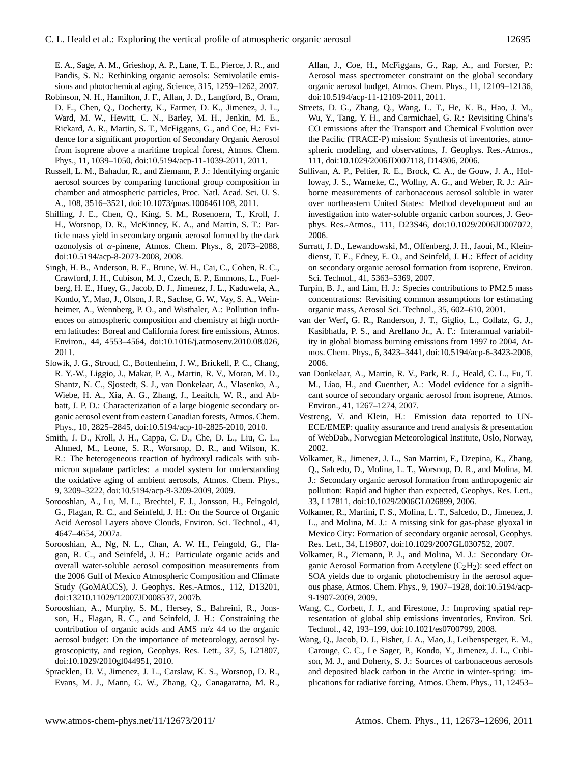E. A., Sage, A. M., Grieshop, A. P., Lane, T. E., Pierce, J. R., and Pandis, S. N.: Rethinking organic aerosols: Semivolatile emissions and photochemical aging, Science, 315, 1259–1262, 2007.

- Robinson, N. H., Hamilton, J. F., Allan, J. D., Langford, B., Oram, D. E., Chen, Q., Docherty, K., Farmer, D. K., Jimenez, J. L., Ward, M. W., Hewitt, C. N., Barley, M. H., Jenkin, M. E., Rickard, A. R., Martin, S. T., McFiggans, G., and Coe, H.: Evidence for a significant proportion of Secondary Organic Aerosol from isoprene above a maritime tropical forest, Atmos. Chem. Phys., 11, 1039–1050, [doi:10.5194/acp-11-1039-2011,](http://dx.doi.org/10.5194/acp-11-1039-2011) 2011.
- Russell, L. M., Bahadur, R., and Ziemann, P. J.: Identifying organic aerosol sources by comparing functional group composition in chamber and atmospheric particles, Proc. Natl. Acad. Sci. U. S. A., 108, 3516–3521, [doi:10.1073/pnas.1006461108,](http://dx.doi.org/10.1073/pnas.1006461108) 2011.
- Shilling, J. E., Chen, Q., King, S. M., Rosenoern, T., Kroll, J. H., Worsnop, D. R., McKinney, K. A., and Martin, S. T.: Particle mass yield in secondary organic aerosol formed by the dark ozonolysis of α-pinene, Atmos. Chem. Phys., 8, 2073–2088, [doi:10.5194/acp-8-2073-2008,](http://dx.doi.org/10.5194/acp-8-2073-2008) 2008.
- Singh, H. B., Anderson, B. E., Brune, W. H., Cai, C., Cohen, R. C., Crawford, J. H., Cubison, M. J., Czech, E. P., Emmons, L., Fuelberg, H. E., Huey, G., Jacob, D. J., Jimenez, J. L., Kaduwela, A., Kondo, Y., Mao, J., Olson, J. R., Sachse, G. W., Vay, S. A., Weinheimer, A., Wennberg, P. O., and Wisthaler, A.: Pollution influences on atmospheric composition and chemistry at high northern latitudes: Boreal and California forest fire emissions, Atmos. Environ., 44, 4553–4564, [doi:10.1016/j.atmosenv.2010.08.026,](http://dx.doi.org/10.1016/j.atmosenv.2010.08.026) 2011.
- Slowik, J. G., Stroud, C., Bottenheim, J. W., Brickell, P. C., Chang, R. Y.-W., Liggio, J., Makar, P. A., Martin, R. V., Moran, M. D., Shantz, N. C., Sjostedt, S. J., van Donkelaar, A., Vlasenko, A., Wiebe, H. A., Xia, A. G., Zhang, J., Leaitch, W. R., and Abbatt, J. P. D.: Characterization of a large biogenic secondary organic aerosol event from eastern Canadian forests, Atmos. Chem. Phys., 10, 2825–2845, [doi:10.5194/acp-10-2825-2010,](http://dx.doi.org/10.5194/acp-10-2825-2010) 2010.
- Smith, J. D., Kroll, J. H., Cappa, C. D., Che, D. L., Liu, C. L., Ahmed, M., Leone, S. R., Worsnop, D. R., and Wilson, K. R.: The heterogeneous reaction of hydroxyl radicals with submicron squalane particles: a model system for understanding the oxidative aging of ambient aerosols, Atmos. Chem. Phys., 9, 3209–3222, [doi:10.5194/acp-9-3209-2009,](http://dx.doi.org/10.5194/acp-9-3209-2009) 2009.
- Sorooshian, A., Lu, M. L., Brechtel, F. J., Jonsson, H., Feingold, G., Flagan, R. C., and Seinfeld, J. H.: On the Source of Organic Acid Aerosol Layers above Clouds, Environ. Sci. Technol., 41, 4647–4654, 2007a.
- Sorooshian, A., Ng, N. L., Chan, A. W. H., Feingold, G., Flagan, R. C., and Seinfeld, J. H.: Particulate organic acids and overall water-soluble aerosol composition measurements from the 2006 Gulf of Mexico Atmospheric Composition and Climate Study (GoMACCS), J. Geophys. Res.-Atmos., 112, D13201, doi:13210.11029/12007JD008537, 2007b.
- Sorooshian, A., Murphy, S. M., Hersey, S., Bahreini, R., Jonsson, H., Flagan, R. C., and Seinfeld, J. H.: Constraining the contribution of organic acids and AMS m/z 44 to the organic aerosol budget: On the importance of meteorology, aerosol hygroscopicity, and region, Geophys. Res. Lett., 37, 5, L21807, [doi:10.1029/2010gl044951,](http://dx.doi.org/10.1029/2010gl044951) 2010.
- Spracklen, D. V., Jimenez, J. L., Carslaw, K. S., Worsnop, D. R., Evans, M. J., Mann, G. W., Zhang, Q., Canagaratna, M. R.,

Allan, J., Coe, H., McFiggans, G., Rap, A., and Forster, P.: Aerosol mass spectrometer constraint on the global secondary organic aerosol budget, Atmos. Chem. Phys., 11, 12109–12136, [doi:10.5194/acp-11-12109-2011,](http://dx.doi.org/10.5194/acp-11-12109-2011) 2011.

- Streets, D. G., Zhang, Q., Wang, L. T., He, K. B., Hao, J. M., Wu, Y., Tang, Y. H., and Carmichael, G. R.: Revisiting China's CO emissions after the Transport and Chemical Evolution over the Pacific (TRACE-P) mission: Synthesis of inventories, atmospheric modeling, and observations, J. Geophys. Res.-Atmos., 111, [doi:10.1029/2006JD007118,](http://dx.doi.org/10.1029/2006JD007118) D14306, 2006.
- Sullivan, A. P., Peltier, R. E., Brock, C. A., de Gouw, J. A., Holloway, J. S., Warneke, C., Wollny, A. G., and Weber, R. J.: Airborne measurements of carbonaceous aerosol soluble in water over northeastern United States: Method development and an investigation into water-soluble organic carbon sources, J. Geophys. Res.-Atmos., 111, D23S46, [doi:10.1029/2006JD007072,](http://dx.doi.org/10.1029/2006JD007072) 2006.
- Surratt, J. D., Lewandowski, M., Offenberg, J. H., Jaoui, M., Kleindienst, T. E., Edney, E. O., and Seinfeld, J. H.: Effect of acidity on secondary organic aerosol formation from isoprene, Environ. Sci. Technol., 41, 5363–5369, 2007.
- Turpin, B. J., and Lim, H. J.: Species contributions to PM2.5 mass concentrations: Revisiting common assumptions for estimating organic mass, Aerosol Sci. Technol., 35, 602–610, 2001.
- van der Werf, G. R., Randerson, J. T., Giglio, L., Collatz, G. J., Kasibhatla, P. S., and Arellano Jr., A. F.: Interannual variability in global biomass burning emissions from 1997 to 2004, Atmos. Chem. Phys., 6, 3423–3441, [doi:10.5194/acp-6-3423-2006,](http://dx.doi.org/10.5194/acp-6-3423-2006) 2006.
- van Donkelaar, A., Martin, R. V., Park, R. J., Heald, C. L., Fu, T. M., Liao, H., and Guenther, A.: Model evidence for a significant source of secondary organic aerosol from isoprene, Atmos. Environ., 41, 1267–1274, 2007.
- Vestreng, V. and Klein, H.: Emission data reported to UN-ECE/EMEP: quality assurance and trend analysis & presentation of WebDab., Norwegian Meteorological Institute, Oslo, Norway, 2002.
- Volkamer, R., Jimenez, J. L., San Martini, F., Dzepina, K., Zhang, Q., Salcedo, D., Molina, L. T., Worsnop, D. R., and Molina, M. J.: Secondary organic aerosol formation from anthropogenic air pollution: Rapid and higher than expected, Geophys. Res. Lett., 33, L17811, [doi:10.1029/2006GL026899,](http://dx.doi.org/10.1029/2006GL026899) 2006.
- Volkamer, R., Martini, F. S., Molina, L. T., Salcedo, D., Jimenez, J. L., and Molina, M. J.: A missing sink for gas-phase glyoxal in Mexico City: Formation of secondary organic aerosol, Geophys. Res. Lett., 34, L19807, [doi:10.1029/2007GL030752,](http://dx.doi.org/10.1029/2007GL030752) 2007.
- Volkamer, R., Ziemann, P. J., and Molina, M. J.: Secondary Organic Aerosol Formation from Acetylene  $(C_2H_2)$ : seed effect on SOA yields due to organic photochemistry in the aerosol aqueous phase, Atmos. Chem. Phys., 9, 1907–1928, [doi:10.5194/acp-](http://dx.doi.org/10.5194/acp-9-1907-2009)[9-1907-2009,](http://dx.doi.org/10.5194/acp-9-1907-2009) 2009.
- Wang, C., Corbett, J. J., and Firestone, J.: Improving spatial representation of global ship emissions inventories, Environ. Sci. Technol., 42, 193–199, [doi:10.1021/es0700799,](http://dx.doi.org/10.1021/es0700799) 2008.
- Wang, Q., Jacob, D. J., Fisher, J. A., Mao, J., Leibensperger, E. M., Carouge, C. C., Le Sager, P., Kondo, Y., Jimenez, J. L., Cubison, M. J., and Doherty, S. J.: Sources of carbonaceous aerosols and deposited black carbon in the Arctic in winter-spring: implications for radiative forcing, Atmos. Chem. Phys., 11, 12453–